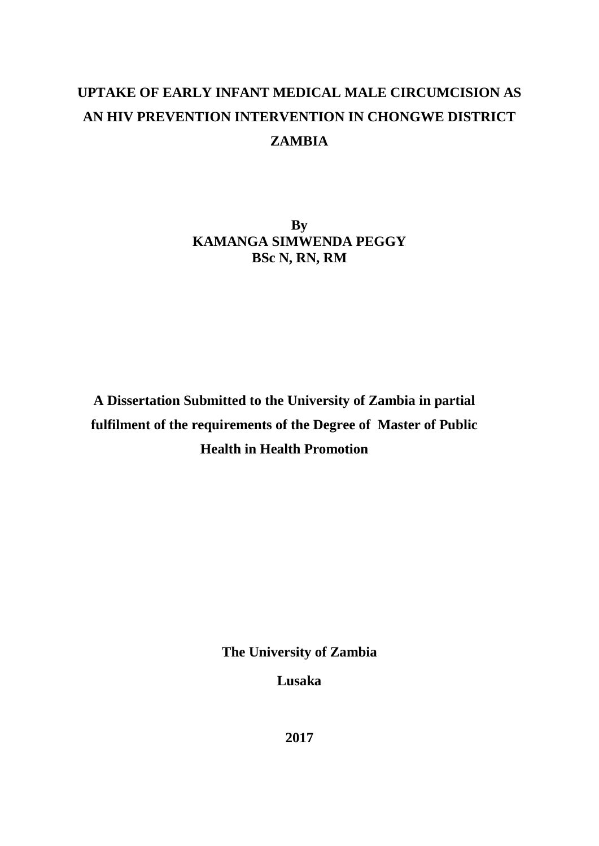# **UPTAKE OF EARLY INFANT MEDICAL MALE CIRCUMCISION AS AN HIV PREVENTION INTERVENTION IN CHONGWE DISTRICT ZAMBIA**

**By KAMANGA SIMWENDA PEGGY BSc N, RN, RM**

**A Dissertation Submitted to the University of Zambia in partial fulfilment of the requirements of the Degree of Master of Public Health in Health Promotion**

**The University of Zambia**

**Lusaka**

**2017**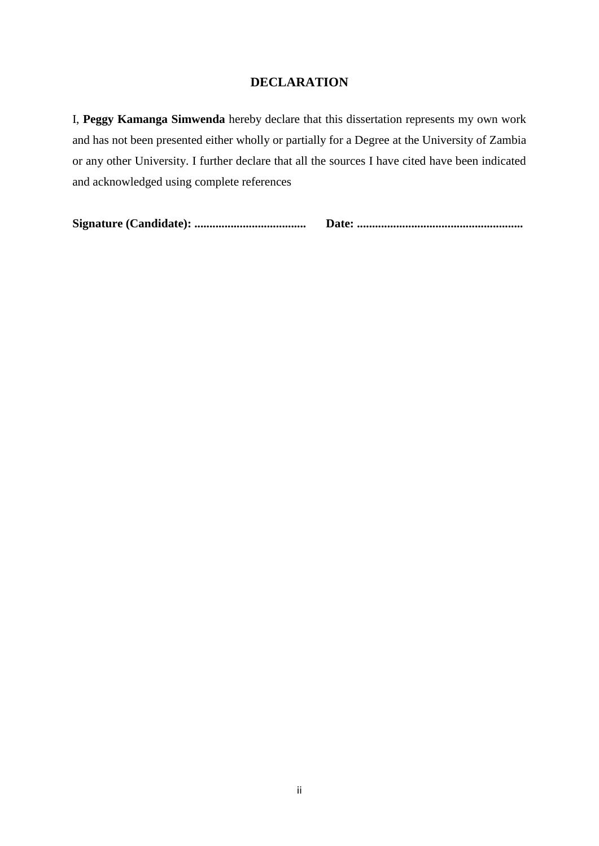# **DECLARATION**

<span id="page-1-0"></span>I, **Peggy Kamanga Simwenda** hereby declare that this dissertation represents my own work and has not been presented either wholly or partially for a Degree at the University of Zambia or any other University. I further declare that all the sources I have cited have been indicated and acknowledged using complete references

**Signature (Candidate): ..................................... Date: .......................................................**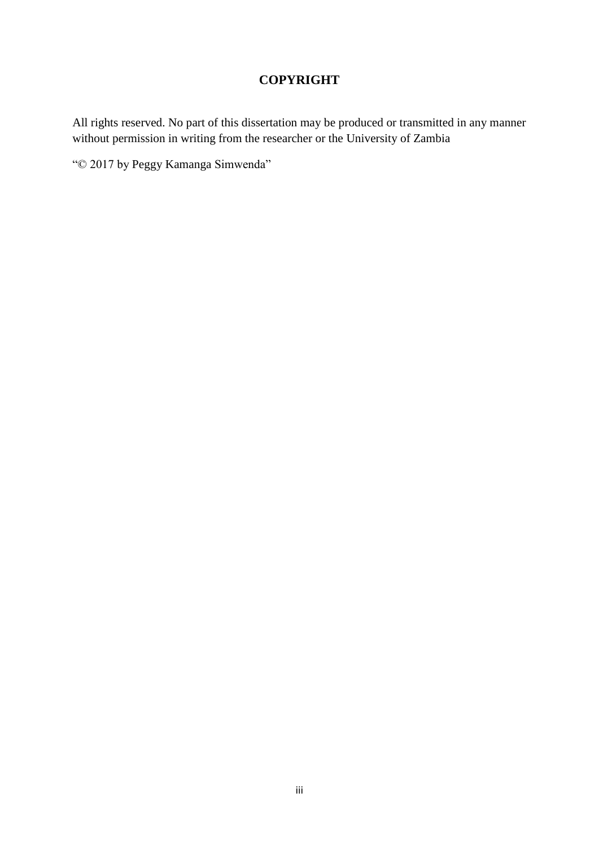# **COPYRIGHT**

<span id="page-2-0"></span>All rights reserved. No part of this dissertation may be produced or transmitted in any manner without permission in writing from the researcher or the University of Zambia

"© 2017 by Peggy Kamanga Simwenda"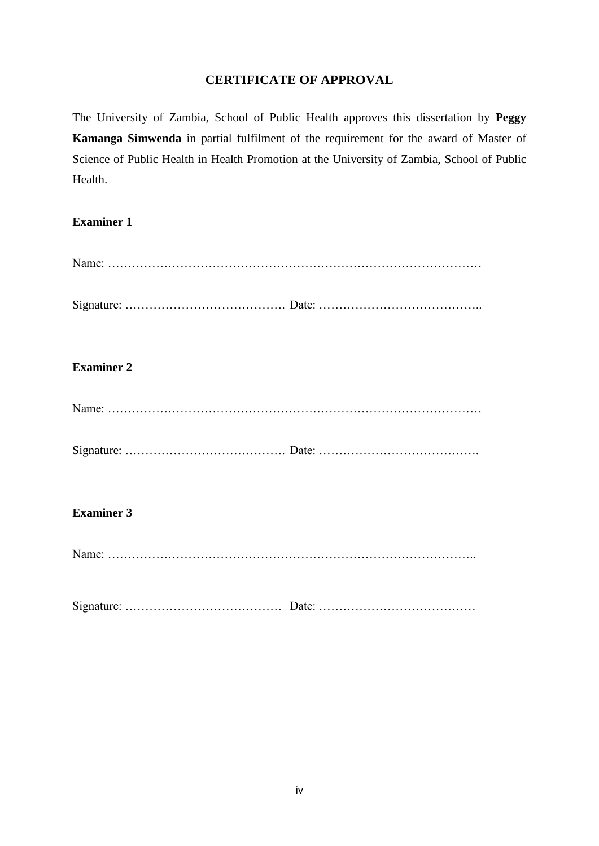# **CERTIFICATE OF APPROVAL**

<span id="page-3-0"></span>The University of Zambia, School of Public Health approves this dissertation by **Peggy Kamanga Simwenda** in partial fulfilment of the requirement for the award of Master of Science of Public Health in Health Promotion at the University of Zambia, School of Public Health.

# **Examiner 1**

| <b>Examiner 2</b> |  |
|-------------------|--|
|                   |  |
|                   |  |
| <b>Examiner 3</b> |  |
|                   |  |

Signature: ………………………………… Date: …………………………………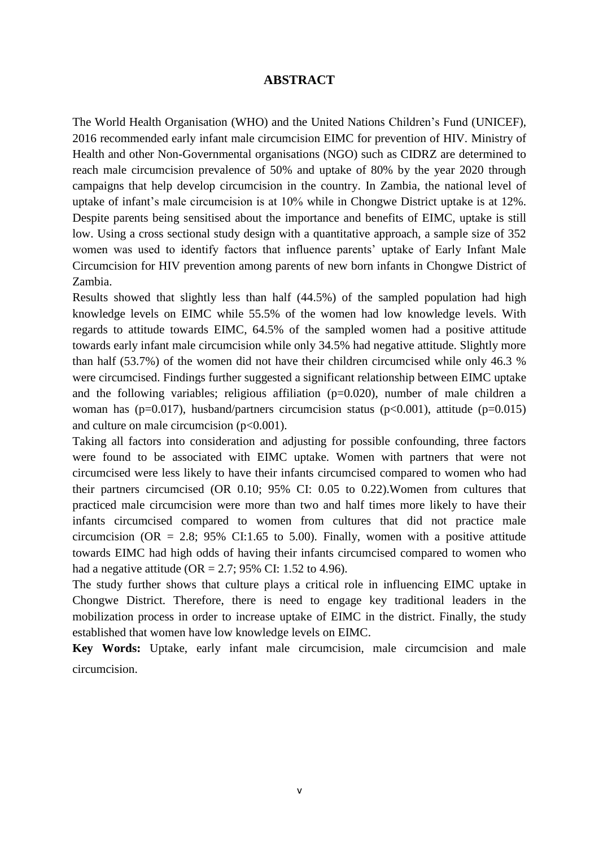### **ABSTRACT**

<span id="page-4-0"></span>The World Health Organisation (WHO) and the United Nations Children"s Fund (UNICEF), 2016 recommended early infant male circumcision EIMC for prevention of HIV. Ministry of Health and other Non-Governmental organisations (NGO) such as CIDRZ are determined to reach male circumcision prevalence of 50% and uptake of 80% by the year 2020 through campaigns that help develop circumcision in the country. In Zambia, the national level of uptake of infant"s male circumcision is at 10% while in Chongwe District uptake is at 12%. Despite parents being sensitised about the importance and benefits of EIMC, uptake is still low. Using a cross sectional study design with a quantitative approach, a sample size of 352 women was used to identify factors that influence parents' uptake of Early Infant Male Circumcision for HIV prevention among parents of new born infants in Chongwe District of Zambia.

Results showed that slightly less than half (44.5%) of the sampled population had high knowledge levels on EIMC while 55.5% of the women had low knowledge levels. With regards to attitude towards EIMC, 64.5% of the sampled women had a positive attitude towards early infant male circumcision while only 34.5% had negative attitude. Slightly more than half (53.7%) of the women did not have their children circumcised while only 46.3 % were circumcised. Findings further suggested a significant relationship between EIMC uptake and the following variables; religious affiliation  $(p=0.020)$ , number of male children a woman has ( $p=0.017$ ), husband/partners circumcision status ( $p<0.001$ ), attitude ( $p=0.015$ ) and culture on male circumcision  $(p<0.001)$ .

Taking all factors into consideration and adjusting for possible confounding, three factors were found to be associated with EIMC uptake. Women with partners that were not circumcised were less likely to have their infants circumcised compared to women who had their partners circumcised (OR 0.10; 95% CI: 0.05 to 0.22).Women from cultures that practiced male circumcision were more than two and half times more likely to have their infants circumcised compared to women from cultures that did not practice male circumcision (OR = 2.8; 95% CI:1.65 to 5.00). Finally, women with a positive attitude towards EIMC had high odds of having their infants circumcised compared to women who had a negative attitude (OR = 2.7; 95% CI: 1.52 to 4.96).

The study further shows that culture plays a critical role in influencing EIMC uptake in Chongwe District. Therefore, there is need to engage key traditional leaders in the mobilization process in order to increase uptake of EIMC in the district. Finally, the study established that women have low knowledge levels on EIMC.

**Key Words:** Uptake, early infant male circumcision, male circumcision and male circumcision.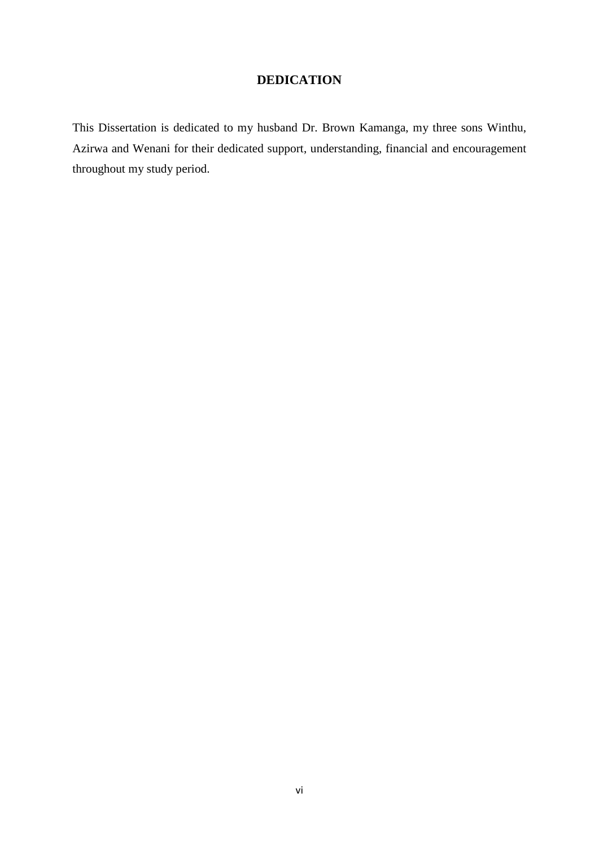# **DEDICATION**

<span id="page-5-0"></span>This Dissertation is dedicated to my husband Dr. Brown Kamanga, my three sons Winthu, Azirwa and Wenani for their dedicated support, understanding, financial and encouragement throughout my study period.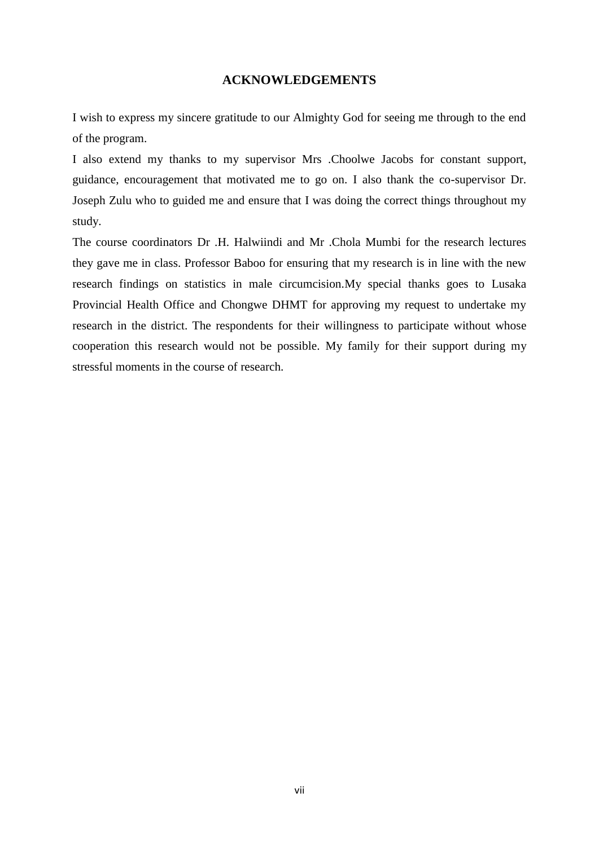# **ACKNOWLEDGEMENTS**

<span id="page-6-0"></span>I wish to express my sincere gratitude to our Almighty God for seeing me through to the end of the program.

I also extend my thanks to my supervisor Mrs .Choolwe Jacobs for constant support, guidance, encouragement that motivated me to go on. I also thank the co-supervisor Dr. Joseph Zulu who to guided me and ensure that I was doing the correct things throughout my study.

The course coordinators Dr .H. Halwiindi and Mr .Chola Mumbi for the research lectures they gave me in class. Professor Baboo for ensuring that my research is in line with the new research findings on statistics in male circumcision.My special thanks goes to Lusaka Provincial Health Office and Chongwe DHMT for approving my request to undertake my research in the district. The respondents for their willingness to participate without whose cooperation this research would not be possible. My family for their support during my stressful moments in the course of research.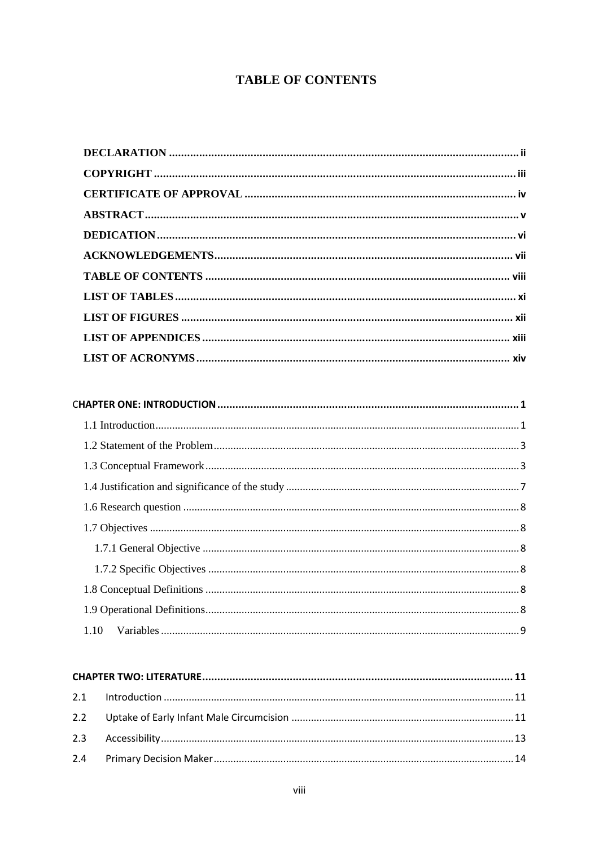# <span id="page-7-0"></span>**TABLE OF CONTENTS**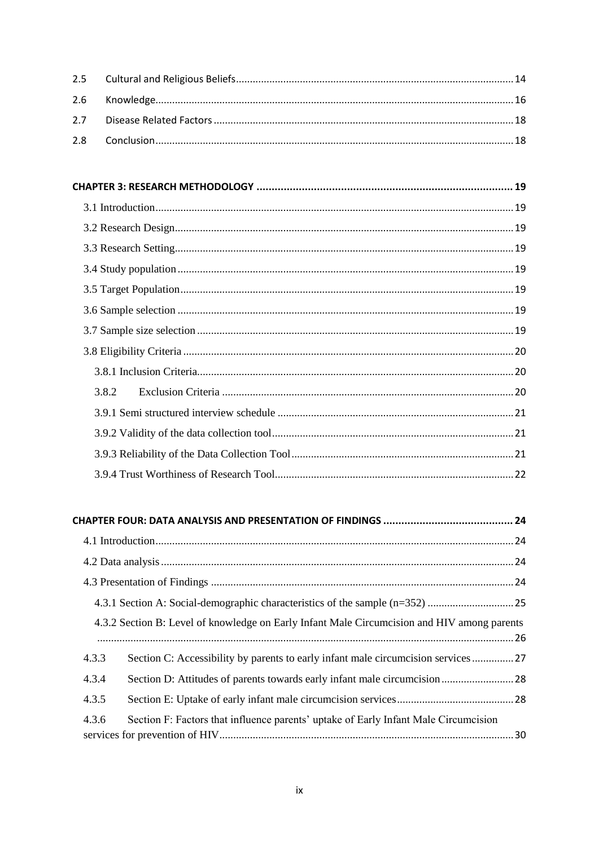| 3.8.2 |  |
|-------|--|
|       |  |
|       |  |
|       |  |
|       |  |
|       |  |

# 

| 4.3.2 Section B: Level of knowledge on Early Infant Male Circumcision and HIV among parents  |
|----------------------------------------------------------------------------------------------|
| Section C: Accessibility by parents to early infant male circumcision services 27<br>4.3.3   |
| 4.3.4                                                                                        |
| 4.3.5                                                                                        |
| 4.3.6<br>Section F: Factors that influence parents' uptake of Early Infant Male Circumcision |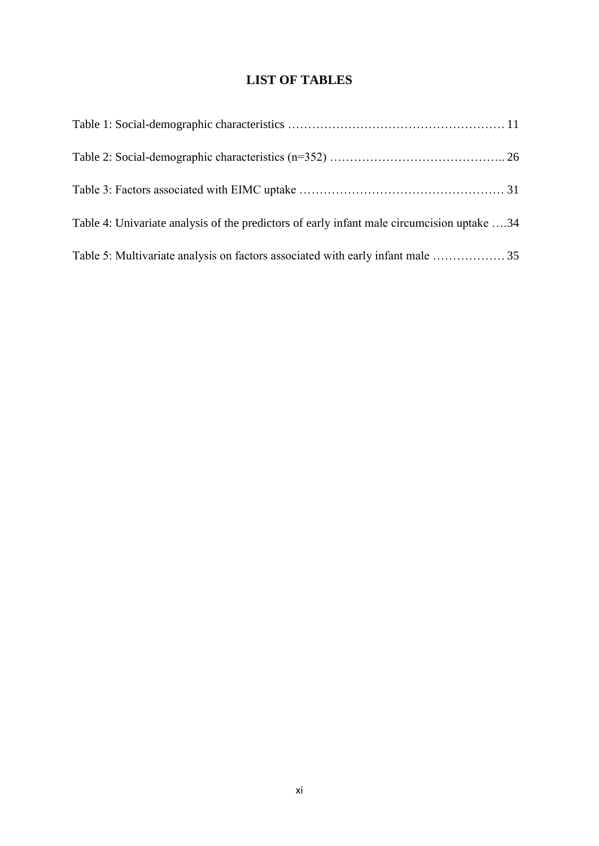# **LIST OF TABLES**

<span id="page-10-0"></span>

| Table 4: Univariate analysis of the predictors of early infant male circumcision uptake 34 |  |
|--------------------------------------------------------------------------------------------|--|
|                                                                                            |  |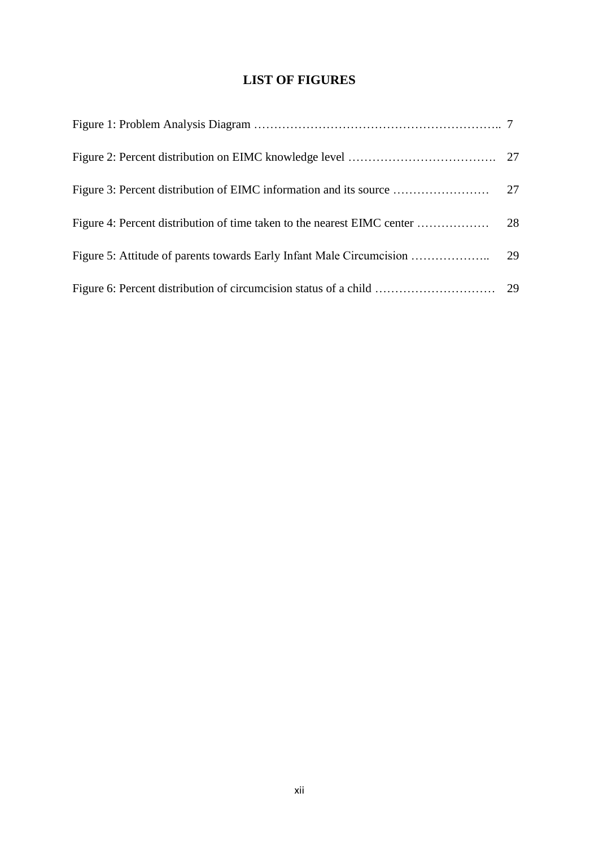# **LIST OF FIGURES**

<span id="page-11-0"></span>

| Figure 3: Percent distribution of EIMC information and its source | 27 |
|-------------------------------------------------------------------|----|
|                                                                   | 28 |
|                                                                   |    |
|                                                                   |    |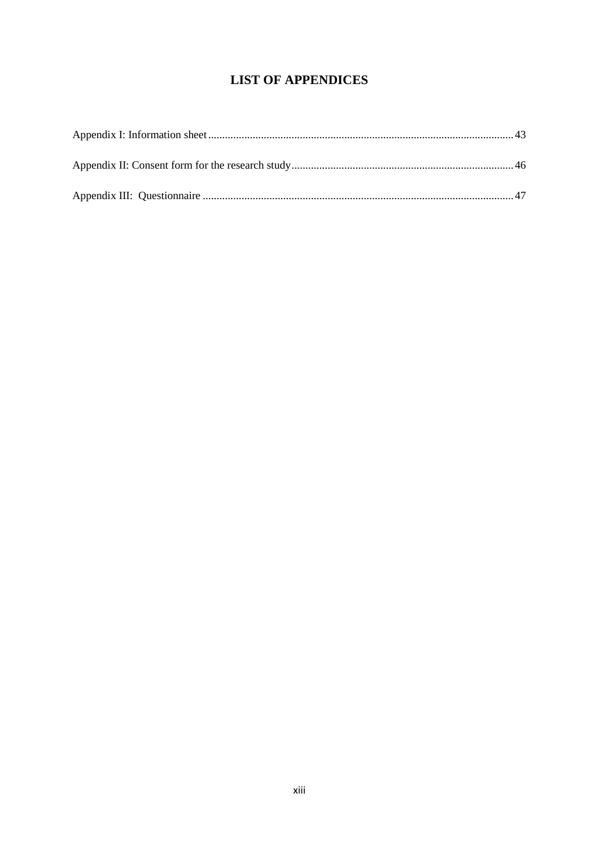# **LIST OF APPENDICES**

<span id="page-12-0"></span>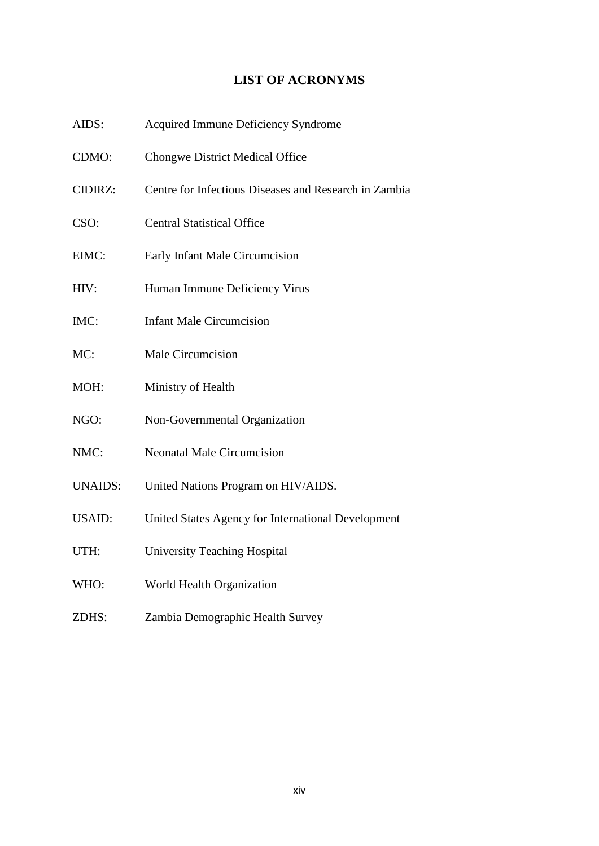# **LIST OF ACRONYMS**

- <span id="page-13-0"></span>AIDS: Acquired Immune Deficiency Syndrome
- CDMO: Chongwe District Medical Office
- CIDIRZ: Centre for Infectious Diseases and Research in Zambia
- CSO: Central Statistical Office
- EIMC: Early Infant Male Circumcision
- HIV: Human Immune Deficiency Virus
- IMC: Infant Male Circumcision
- MC: Male Circumcision
- MOH: Ministry of Health
- NGO: Non-Governmental Organization
- NMC: Neonatal Male Circumcision
- UNAIDS: United Nations Program on HIV/AIDS.
- USAID: United States Agency for International Development
- UTH: University Teaching Hospital
- WHO: World Health Organization
- ZDHS: Zambia Demographic Health Survey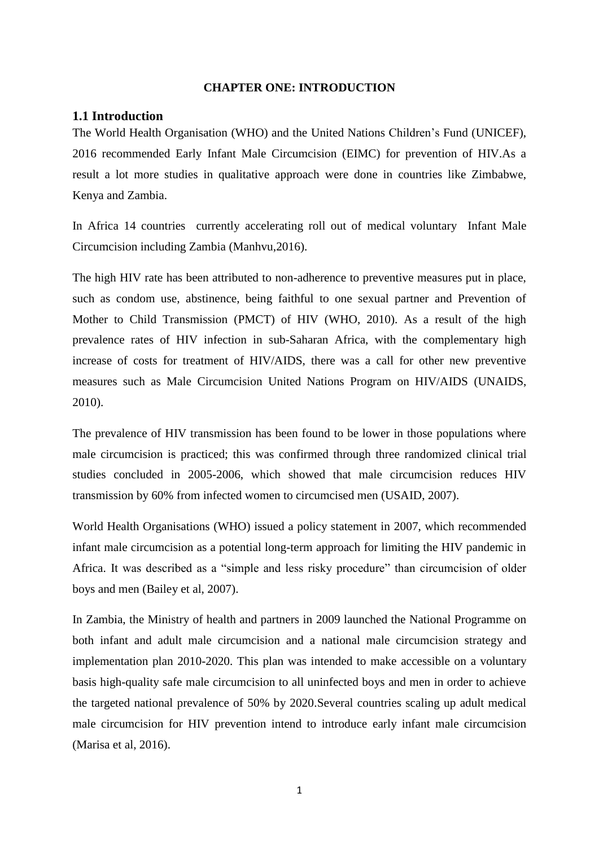#### **CHAPTER ONE: INTRODUCTION**

### <span id="page-14-1"></span><span id="page-14-0"></span>**1.1 Introduction**

The World Health Organisation (WHO) and the United Nations Children"s Fund (UNICEF), 2016 recommended Early Infant Male Circumcision (EIMC) for prevention of HIV.As a result a lot more studies in qualitative approach were done in countries like Zimbabwe, Kenya and Zambia.

In Africa 14 countries currently accelerating roll out of medical voluntary Infant Male Circumcision including Zambia (Manhvu,2016).

The high HIV rate has been attributed to non-adherence to preventive measures put in place, such as condom use, abstinence, being faithful to one sexual partner and Prevention of Mother to Child Transmission (PMCT) of HIV (WHO, 2010). As a result of the high prevalence rates of HIV infection in sub-Saharan Africa, with the complementary high increase of costs for treatment of HIV/AIDS, there was a call for other new preventive measures such as Male Circumcision United Nations Program on HIV/AIDS (UNAIDS, 2010).

The prevalence of HIV transmission has been found to be lower in those populations where male circumcision is practiced; this was confirmed through three randomized clinical trial studies concluded in 2005-2006, which showed that male circumcision reduces HIV transmission by 60% from infected women to circumcised men (USAID, 2007).

World Health Organisations (WHO) issued a policy statement in 2007, which recommended infant male circumcision as a potential long-term approach for limiting the HIV pandemic in Africa. It was described as a "simple and less risky procedure" than circumcision of older boys and men (Bailey et al, 2007).

In Zambia, the Ministry of health and partners in 2009 launched the National Programme on both infant and adult male circumcision and a national male circumcision strategy and implementation plan 2010-2020. This plan was intended to make accessible on a voluntary basis high-quality safe male circumcision to all uninfected boys and men in order to achieve the targeted national prevalence of 50% by 2020.Several countries scaling up adult medical male circumcision for HIV prevention intend to introduce early infant male circumcision (Marisa et al, 2016).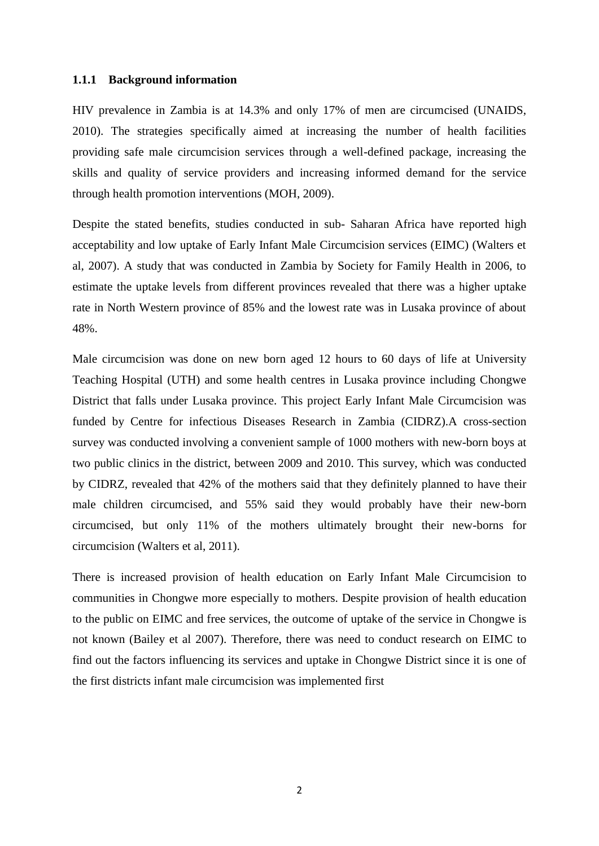#### **1.1.1 Background information**

HIV prevalence in Zambia is at 14.3% and only 17% of men are circumcised (UNAIDS, 2010). The strategies specifically aimed at increasing the number of health facilities providing safe male circumcision services through a well-defined package, increasing the skills and quality of service providers and increasing informed demand for the service through health promotion interventions (MOH, 2009).

Despite the stated benefits, studies conducted in sub- Saharan Africa have reported high acceptability and low uptake of Early Infant Male Circumcision services (EIMC) (Walters et al, 2007). A study that was conducted in Zambia by Society for Family Health in 2006, to estimate the uptake levels from different provinces revealed that there was a higher uptake rate in North Western province of 85% and the lowest rate was in Lusaka province of about 48%.

Male circumcision was done on new born aged 12 hours to 60 days of life at University Teaching Hospital (UTH) and some health centres in Lusaka province including Chongwe District that falls under Lusaka province. This project Early Infant Male Circumcision was funded by Centre for infectious Diseases Research in Zambia (CIDRZ).A cross-section survey was conducted involving a convenient sample of 1000 mothers with new-born boys at two public clinics in the district, between 2009 and 2010. This survey, which was conducted by CIDRZ, revealed that 42% of the mothers said that they definitely planned to have their male children circumcised, and 55% said they would probably have their new-born circumcised, but only 11% of the mothers ultimately brought their new-borns for circumcision (Walters et al, 2011).

There is increased provision of health education on Early Infant Male Circumcision to communities in Chongwe more especially to mothers. Despite provision of health education to the public on EIMC and free services, the outcome of uptake of the service in Chongwe is not known (Bailey et al 2007). Therefore, there was need to conduct research on EIMC to find out the factors influencing its services and uptake in Chongwe District since it is one of the first districts infant male circumcision was implemented first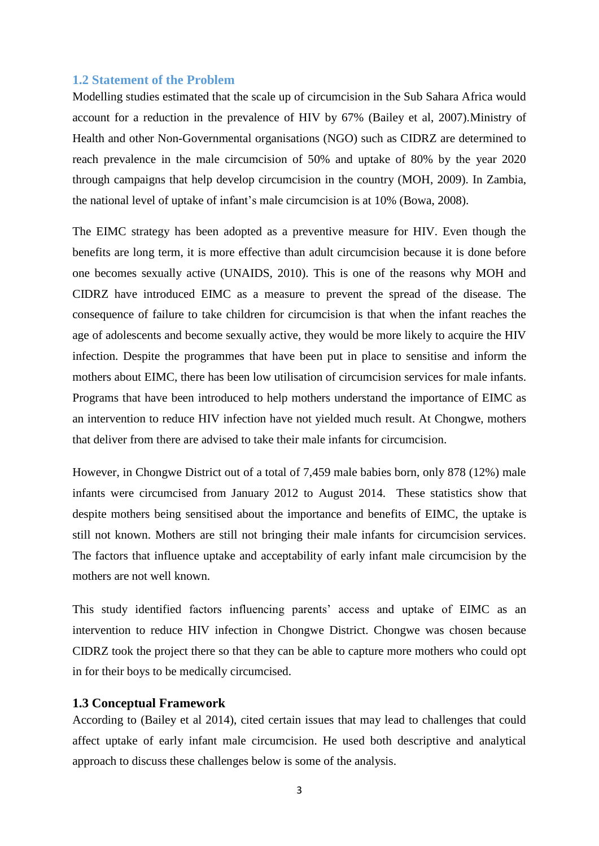### <span id="page-16-0"></span>**1.2 Statement of the Problem**

Modelling studies estimated that the scale up of circumcision in the Sub Sahara Africa would account for a reduction in the prevalence of HIV by 67% (Bailey et al, 2007).Ministry of Health and other Non-Governmental organisations (NGO) such as CIDRZ are determined to reach prevalence in the male circumcision of 50% and uptake of 80% by the year 2020 through campaigns that help develop circumcision in the country (MOH, 2009). In Zambia, the national level of uptake of infant"s male circumcision is at 10% (Bowa, 2008).

The EIMC strategy has been adopted as a preventive measure for HIV. Even though the benefits are long term, it is more effective than adult circumcision because it is done before one becomes sexually active (UNAIDS, 2010). This is one of the reasons why MOH and CIDRZ have introduced EIMC as a measure to prevent the spread of the disease. The consequence of failure to take children for circumcision is that when the infant reaches the age of adolescents and become sexually active, they would be more likely to acquire the HIV infection. Despite the programmes that have been put in place to sensitise and inform the mothers about EIMC, there has been low utilisation of circumcision services for male infants. Programs that have been introduced to help mothers understand the importance of EIMC as an intervention to reduce HIV infection have not yielded much result. At Chongwe, mothers that deliver from there are advised to take their male infants for circumcision.

However, in Chongwe District out of a total of 7,459 male babies born, only 878 (12%) male infants were circumcised from January 2012 to August 2014. These statistics show that despite mothers being sensitised about the importance and benefits of EIMC, the uptake is still not known. Mothers are still not bringing their male infants for circumcision services. The factors that influence uptake and acceptability of early infant male circumcision by the mothers are not well known.

This study identified factors influencing parents' access and uptake of EIMC as an intervention to reduce HIV infection in Chongwe District. Chongwe was chosen because CIDRZ took the project there so that they can be able to capture more mothers who could opt in for their boys to be medically circumcised.

#### <span id="page-16-1"></span>**1.3 Conceptual Framework**

According to (Bailey et al 2014), cited certain issues that may lead to challenges that could affect uptake of early infant male circumcision. He used both descriptive and analytical approach to discuss these challenges below is some of the analysis.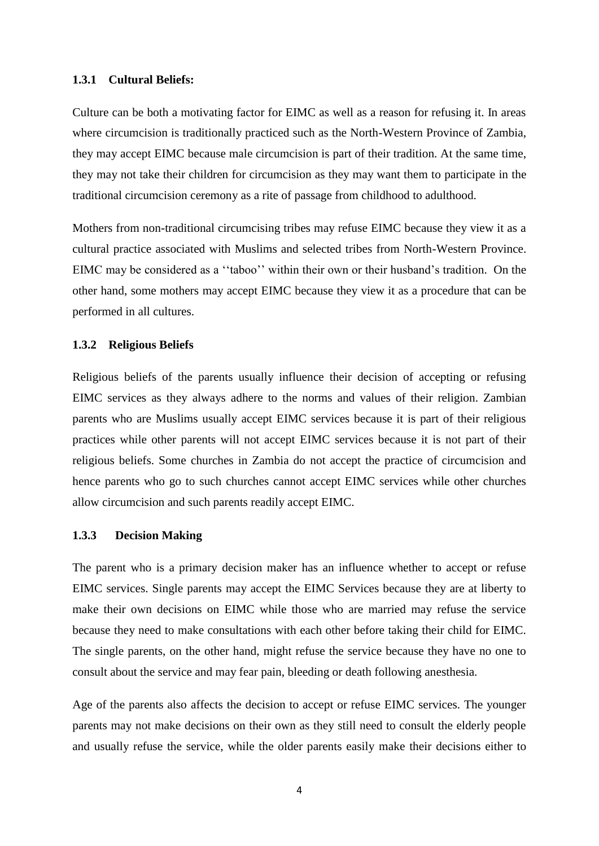#### **1.3.1 Cultural Beliefs:**

Culture can be both a motivating factor for EIMC as well as a reason for refusing it. In areas where circumcision is traditionally practiced such as the North-Western Province of Zambia, they may accept EIMC because male circumcision is part of their tradition. At the same time, they may not take their children for circumcision as they may want them to participate in the traditional circumcision ceremony as a rite of passage from childhood to adulthood.

Mothers from non-traditional circumcising tribes may refuse EIMC because they view it as a cultural practice associated with Muslims and selected tribes from North-Western Province. EIMC may be considered as a "taboo" within their own or their husband's tradition. On the other hand, some mothers may accept EIMC because they view it as a procedure that can be performed in all cultures.

#### **1.3.2 Religious Beliefs**

Religious beliefs of the parents usually influence their decision of accepting or refusing EIMC services as they always adhere to the norms and values of their religion. Zambian parents who are Muslims usually accept EIMC services because it is part of their religious practices while other parents will not accept EIMC services because it is not part of their religious beliefs. Some churches in Zambia do not accept the practice of circumcision and hence parents who go to such churches cannot accept EIMC services while other churches allow circumcision and such parents readily accept EIMC.

#### **1.3.3 Decision Making**

The parent who is a primary decision maker has an influence whether to accept or refuse EIMC services. Single parents may accept the EIMC Services because they are at liberty to make their own decisions on EIMC while those who are married may refuse the service because they need to make consultations with each other before taking their child for EIMC. The single parents, on the other hand, might refuse the service because they have no one to consult about the service and may fear pain, bleeding or death following anesthesia.

Age of the parents also affects the decision to accept or refuse EIMC services. The younger parents may not make decisions on their own as they still need to consult the elderly people and usually refuse the service, while the older parents easily make their decisions either to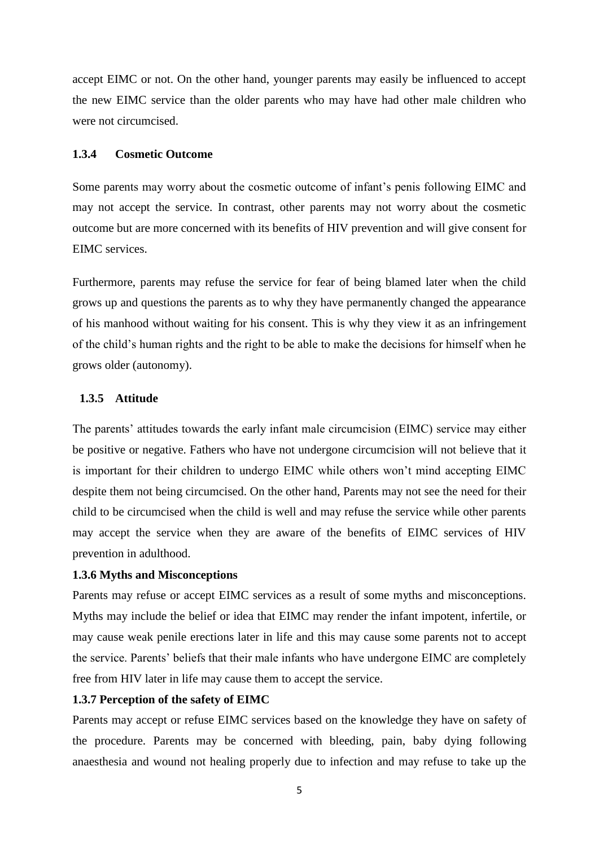accept EIMC or not. On the other hand, younger parents may easily be influenced to accept the new EIMC service than the older parents who may have had other male children who were not circumcised.

### **1.3.4 Cosmetic Outcome**

Some parents may worry about the cosmetic outcome of infant"s penis following EIMC and may not accept the service. In contrast, other parents may not worry about the cosmetic outcome but are more concerned with its benefits of HIV prevention and will give consent for EIMC services.

Furthermore, parents may refuse the service for fear of being blamed later when the child grows up and questions the parents as to why they have permanently changed the appearance of his manhood without waiting for his consent. This is why they view it as an infringement of the child"s human rights and the right to be able to make the decisions for himself when he grows older (autonomy).

#### **1.3.5 Attitude**

The parents' attitudes towards the early infant male circumcision (EIMC) service may either be positive or negative. Fathers who have not undergone circumcision will not believe that it is important for their children to undergo EIMC while others won"t mind accepting EIMC despite them not being circumcised. On the other hand, Parents may not see the need for their child to be circumcised when the child is well and may refuse the service while other parents may accept the service when they are aware of the benefits of EIMC services of HIV prevention in adulthood.

#### **1.3.6 Myths and Misconceptions**

Parents may refuse or accept EIMC services as a result of some myths and misconceptions. Myths may include the belief or idea that EIMC may render the infant impotent, infertile, or may cause weak penile erections later in life and this may cause some parents not to accept the service. Parents' beliefs that their male infants who have undergone EIMC are completely free from HIV later in life may cause them to accept the service.

#### **1.3.7 Perception of the safety of EIMC**

Parents may accept or refuse EIMC services based on the knowledge they have on safety of the procedure. Parents may be concerned with bleeding, pain, baby dying following anaesthesia and wound not healing properly due to infection and may refuse to take up the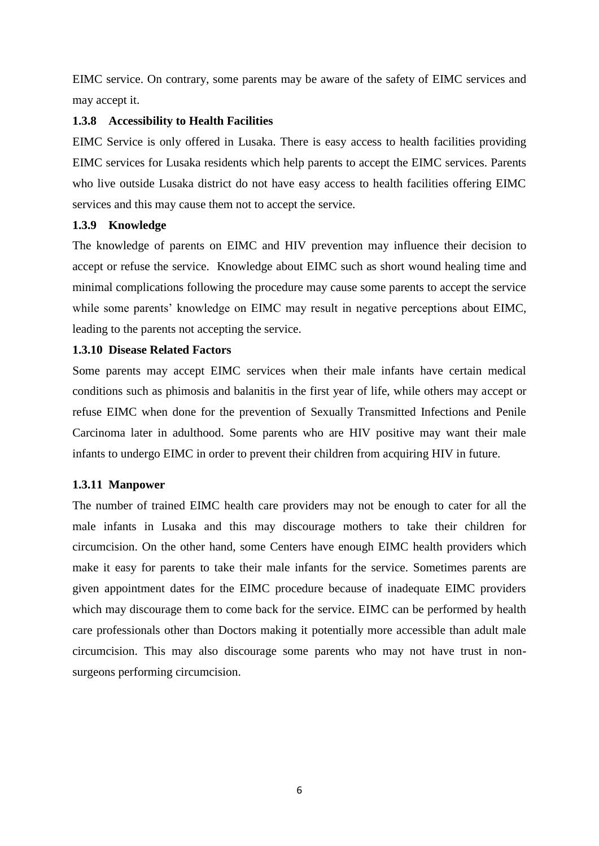EIMC service. On contrary, some parents may be aware of the safety of EIMC services and may accept it.

# **1.3.8 Accessibility to Health Facilities**

EIMC Service is only offered in Lusaka. There is easy access to health facilities providing EIMC services for Lusaka residents which help parents to accept the EIMC services. Parents who live outside Lusaka district do not have easy access to health facilities offering EIMC services and this may cause them not to accept the service.

# **1.3.9 Knowledge**

The knowledge of parents on EIMC and HIV prevention may influence their decision to accept or refuse the service. Knowledge about EIMC such as short wound healing time and minimal complications following the procedure may cause some parents to accept the service while some parents' knowledge on EIMC may result in negative perceptions about EIMC, leading to the parents not accepting the service.

# **1.3.10 Disease Related Factors**

Some parents may accept EIMC services when their male infants have certain medical conditions such as phimosis and balanitis in the first year of life, while others may accept or refuse EIMC when done for the prevention of Sexually Transmitted Infections and Penile Carcinoma later in adulthood. Some parents who are HIV positive may want their male infants to undergo EIMC in order to prevent their children from acquiring HIV in future.

# **1.3.11 Manpower**

The number of trained EIMC health care providers may not be enough to cater for all the male infants in Lusaka and this may discourage mothers to take their children for circumcision. On the other hand, some Centers have enough EIMC health providers which make it easy for parents to take their male infants for the service. Sometimes parents are given appointment dates for the EIMC procedure because of inadequate EIMC providers which may discourage them to come back for the service. EIMC can be performed by health care professionals other than Doctors making it potentially more accessible than adult male circumcision. This may also discourage some parents who may not have trust in nonsurgeons performing circumcision.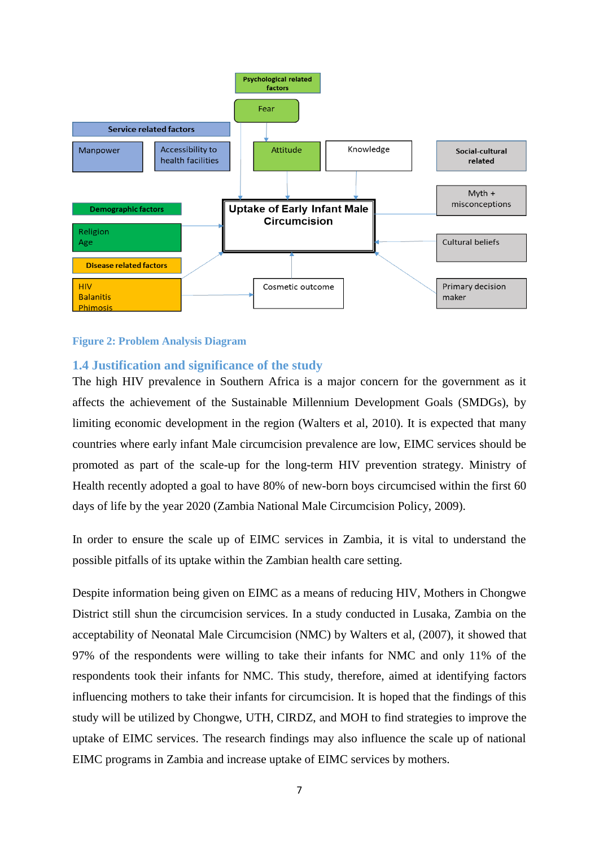

#### **Figure 2: Problem Analysis Diagram**

# <span id="page-20-0"></span>**1.4 Justification and significance of the study**

The high HIV prevalence in Southern Africa is a major concern for the government as it affects the achievement of the Sustainable Millennium Development Goals (SMDGs), by limiting economic development in the region (Walters et al, 2010). It is expected that many countries where early infant Male circumcision prevalence are low, EIMC services should be promoted as part of the scale-up for the long-term HIV prevention strategy. Ministry of Health recently adopted a goal to have 80% of new-born boys circumcised within the first 60 days of life by the year 2020 (Zambia National Male Circumcision Policy, 2009).

In order to ensure the scale up of EIMC services in Zambia, it is vital to understand the possible pitfalls of its uptake within the Zambian health care setting.

Despite information being given on EIMC as a means of reducing HIV, Mothers in Chongwe District still shun the circumcision services. In a study conducted in Lusaka, Zambia on the acceptability of Neonatal Male Circumcision (NMC) by Walters et al, (2007), it showed that 97% of the respondents were willing to take their infants for NMC and only 11% of the respondents took their infants for NMC. This study, therefore, aimed at identifying factors influencing mothers to take their infants for circumcision. It is hoped that the findings of this study will be utilized by Chongwe, UTH, CIRDZ, and MOH to find strategies to improve the uptake of EIMC services. The research findings may also influence the scale up of national EIMC programs in Zambia and increase uptake of EIMC services by mothers.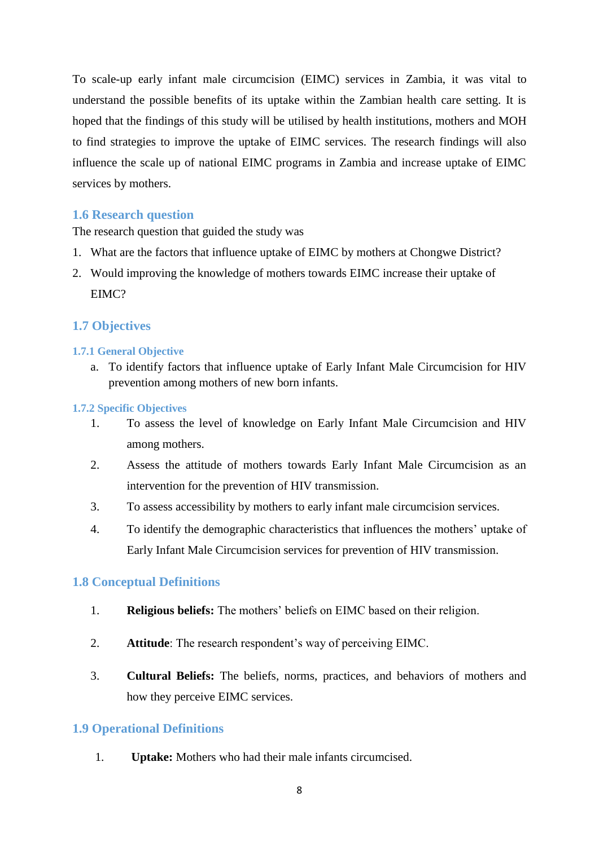To scale-up early infant male circumcision (EIMC) services in Zambia, it was vital to understand the possible benefits of its uptake within the Zambian health care setting. It is hoped that the findings of this study will be utilised by health institutions, mothers and MOH to find strategies to improve the uptake of EIMC services. The research findings will also influence the scale up of national EIMC programs in Zambia and increase uptake of EIMC services by mothers.

# <span id="page-21-0"></span>**1.6 Research question**

The research question that guided the study was

- 1. What are the factors that influence uptake of EIMC by mothers at Chongwe District?
- 2. Would improving the knowledge of mothers towards EIMC increase their uptake of EIMC?

# <span id="page-21-1"></span>**1.7 Objectives**

# <span id="page-21-2"></span>**1.7.1 General Objective**

a. To identify factors that influence uptake of Early Infant Male Circumcision for HIV prevention among mothers of new born infants.

# <span id="page-21-3"></span>**1.7.2 Specific Objectives**

- 1. To assess the level of knowledge on Early Infant Male Circumcision and HIV among mothers.
- 2. Assess the attitude of mothers towards Early Infant Male Circumcision as an intervention for the prevention of HIV transmission.
- 3. To assess accessibility by mothers to early infant male circumcision services.
- 4. To identify the demographic characteristics that influences the mothers" uptake of Early Infant Male Circumcision services for prevention of HIV transmission.

# <span id="page-21-4"></span>**1.8 Conceptual Definitions**

- 1. **Religious beliefs:** The mothers" beliefs on EIMC based on their religion.
- 2. **Attitude**: The research respondent"s way of perceiving EIMC.
- 3. **Cultural Beliefs:** The beliefs, norms, practices, and behaviors of mothers and how they perceive EIMC services.

# <span id="page-21-5"></span>**1.9 Operational Definitions**

1. **Uptake:** Mothers who had their male infants circumcised.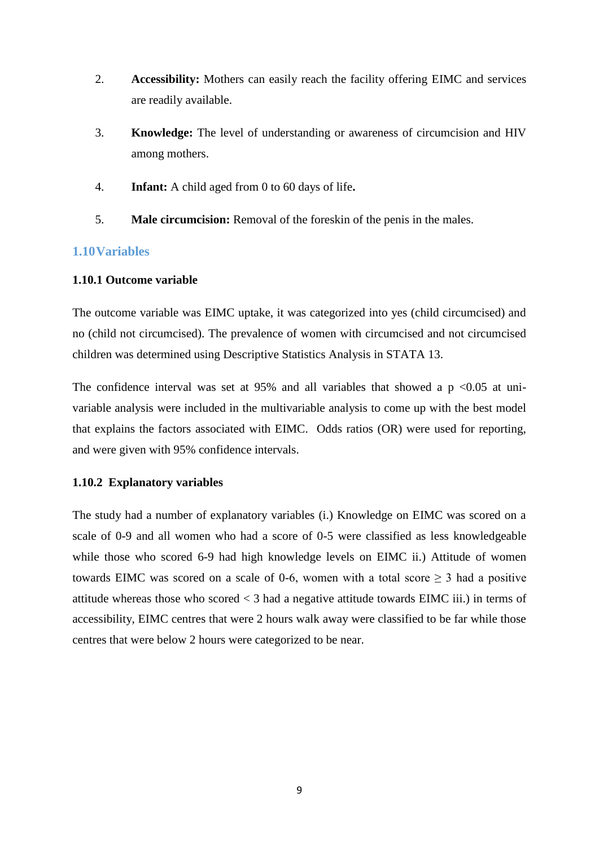- 2. **Accessibility:** Mothers can easily reach the facility offering EIMC and services are readily available.
- 3. **Knowledge:** The level of understanding or awareness of circumcision and HIV among mothers.
- 4. **Infant:** A child aged from 0 to 60 days of life**.**
- 5. **Male circumcision:** Removal of the foreskin of the penis in the males.

# <span id="page-22-0"></span>**1.10Variables**

# **1.10.1 Outcome variable**

The outcome variable was EIMC uptake, it was categorized into yes (child circumcised) and no (child not circumcised). The prevalence of women with circumcised and not circumcised children was determined using Descriptive Statistics Analysis in STATA 13.

The confidence interval was set at  $95\%$  and all variables that showed a p <0.05 at univariable analysis were included in the multivariable analysis to come up with the best model that explains the factors associated with EIMC. Odds ratios (OR) were used for reporting, and were given with 95% confidence intervals.

# **1.10.2 Explanatory variables**

The study had a number of explanatory variables (i.) Knowledge on EIMC was scored on a scale of 0-9 and all women who had a score of 0-5 were classified as less knowledgeable while those who scored 6-9 had high knowledge levels on EIMC ii.) Attitude of women towards EIMC was scored on a scale of 0-6, women with a total score  $\geq$  3 had a positive attitude whereas those who scored < 3 had a negative attitude towards EIMC iii.) in terms of accessibility, EIMC centres that were 2 hours walk away were classified to be far while those centres that were below 2 hours were categorized to be near.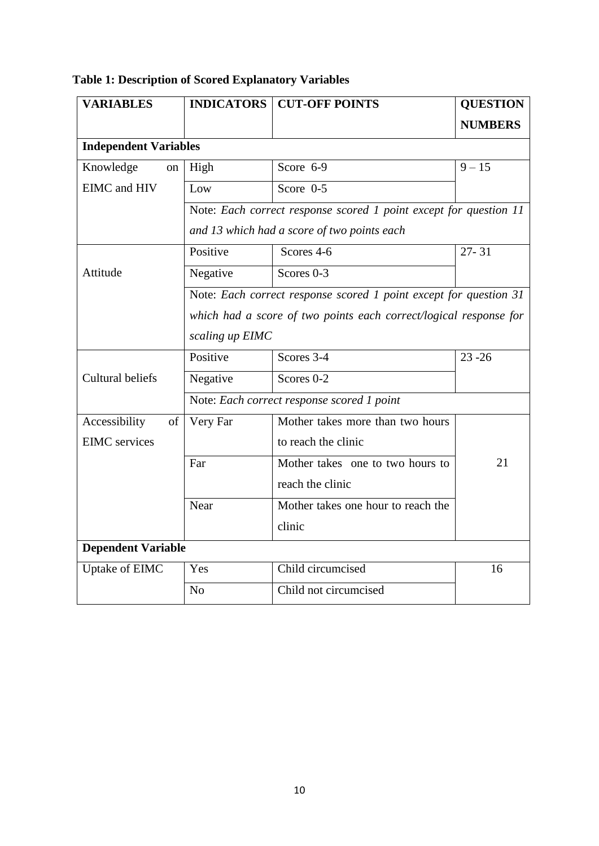| <b>VARIABLES</b>             |                                            | <b>INDICATORS   CUT-OFF POINTS</b>                                                                                                     | <b>QUESTION</b>    |  |
|------------------------------|--------------------------------------------|----------------------------------------------------------------------------------------------------------------------------------------|--------------------|--|
|                              |                                            |                                                                                                                                        | <b>NUMBERS</b>     |  |
| <b>Independent Variables</b> |                                            |                                                                                                                                        |                    |  |
| Knowledge<br>on              | High                                       | Score 6-9                                                                                                                              | $9 - 15$           |  |
| <b>EIMC</b> and HIV          | Low                                        | Score $0-5$                                                                                                                            |                    |  |
|                              |                                            | Note: Each correct response scored 1 point except for question 11<br>and 13 which had a score of two points each                       |                    |  |
|                              | Positive                                   | Scores 4-6                                                                                                                             | $\overline{27-31}$ |  |
| Attitude                     | Negative                                   | Scores 0-3                                                                                                                             |                    |  |
|                              | scaling up EIMC                            | Note: Each correct response scored 1 point except for question 31<br>which had a score of two points each correct/logical response for |                    |  |
|                              | Positive                                   | Scores 3-4                                                                                                                             | $23 - 26$          |  |
| Cultural beliefs             | Negative                                   | Scores 0-2                                                                                                                             |                    |  |
|                              | Note: Each correct response scored 1 point |                                                                                                                                        |                    |  |
| Accessibility<br>of          | Very Far                                   | Mother takes more than two hours                                                                                                       |                    |  |
| <b>EIMC</b> services         |                                            | to reach the clinic                                                                                                                    |                    |  |
|                              | Far                                        | Mother takes one to two hours to                                                                                                       | 21                 |  |
|                              |                                            | reach the clinic                                                                                                                       |                    |  |
|                              | Near                                       | Mother takes one hour to reach the                                                                                                     |                    |  |
|                              |                                            | clinic                                                                                                                                 |                    |  |
| <b>Dependent Variable</b>    |                                            |                                                                                                                                        |                    |  |
| Uptake of EIMC               | Yes                                        | Child circumcised                                                                                                                      | 16                 |  |
|                              | N <sub>o</sub>                             | Child not circumcised                                                                                                                  |                    |  |

# **Table 1: Description of Scored Explanatory Variables**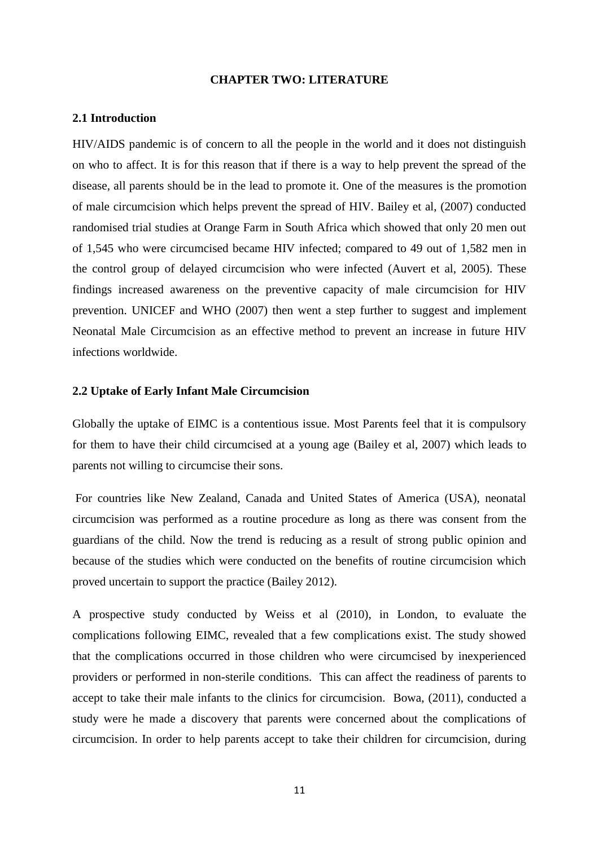#### **CHAPTER TWO: LITERATURE**

#### <span id="page-24-1"></span><span id="page-24-0"></span>**2.1 Introduction**

HIV/AIDS pandemic is of concern to all the people in the world and it does not distinguish on who to affect. It is for this reason that if there is a way to help prevent the spread of the disease, all parents should be in the lead to promote it. One of the measures is the promotion of male circumcision which helps prevent the spread of HIV. Bailey et al, (2007) conducted randomised trial studies at Orange Farm in South Africa which showed that only 20 men out of 1,545 who were circumcised became HIV infected; compared to 49 out of 1,582 men in the control group of delayed circumcision who were infected (Auvert et al, 2005). These findings increased awareness on the preventive capacity of male circumcision for HIV prevention. UNICEF and WHO (2007) then went a step further to suggest and implement Neonatal Male Circumcision as an effective method to prevent an increase in future HIV infections worldwide.

#### <span id="page-24-2"></span>**2.2 Uptake of Early Infant Male Circumcision**

Globally the uptake of EIMC is a contentious issue. Most Parents feel that it is compulsory for them to have their child circumcised at a young age (Bailey et al, 2007) which leads to parents not willing to circumcise their sons.

For countries like New Zealand, Canada and United States of America (USA), neonatal circumcision was performed as a routine procedure as long as there was consent from the guardians of the child. Now the trend is reducing as a result of strong public opinion and because of the studies which were conducted on the benefits of routine circumcision which proved uncertain to support the practice (Bailey 2012).

A prospective study conducted by Weiss et al (2010), in London, to evaluate the complications following EIMC, revealed that a few complications exist. The study showed that the complications occurred in those children who were circumcised by inexperienced providers or performed in non-sterile conditions. This can affect the readiness of parents to accept to take their male infants to the clinics for circumcision. Bowa, (2011), conducted a study were he made a discovery that parents were concerned about the complications of circumcision. In order to help parents accept to take their children for circumcision, during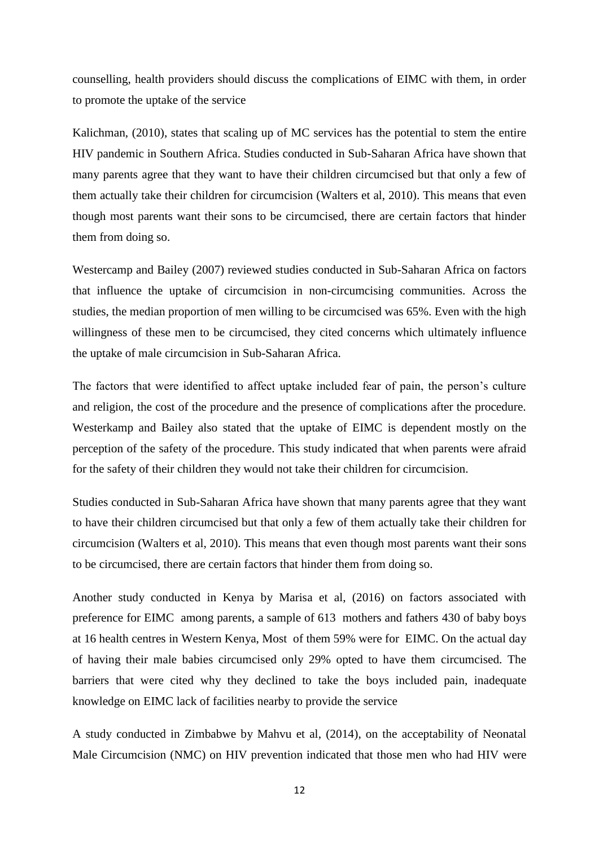counselling, health providers should discuss the complications of EIMC with them, in order to promote the uptake of the service

Kalichman, (2010), states that scaling up of MC services has the potential to stem the entire HIV pandemic in Southern Africa. Studies conducted in Sub-Saharan Africa have shown that many parents agree that they want to have their children circumcised but that only a few of them actually take their children for circumcision (Walters et al, 2010). This means that even though most parents want their sons to be circumcised, there are certain factors that hinder them from doing so.

Westercamp and Bailey (2007) reviewed studies conducted in Sub-Saharan Africa on factors that influence the uptake of circumcision in non-circumcising communities. Across the studies, the median proportion of men willing to be circumcised was 65%. Even with the high willingness of these men to be circumcised, they cited concerns which ultimately influence the uptake of male circumcision in Sub-Saharan Africa.

The factors that were identified to affect uptake included fear of pain, the person's culture and religion, the cost of the procedure and the presence of complications after the procedure. Westerkamp and Bailey also stated that the uptake of EIMC is dependent mostly on the perception of the safety of the procedure. This study indicated that when parents were afraid for the safety of their children they would not take their children for circumcision.

Studies conducted in Sub-Saharan Africa have shown that many parents agree that they want to have their children circumcised but that only a few of them actually take their children for circumcision (Walters et al, 2010). This means that even though most parents want their sons to be circumcised, there are certain factors that hinder them from doing so.

Another study conducted in Kenya by Marisa et al, (2016) on factors associated with preference for EIMC among parents, a sample of 613 mothers and fathers 430 of baby boys at 16 health centres in Western Kenya, Most of them 59% were for EIMC. On the actual day of having their male babies circumcised only 29% opted to have them circumcised. The barriers that were cited why they declined to take the boys included pain, inadequate knowledge on EIMC lack of facilities nearby to provide the service

A study conducted in Zimbabwe by Mahvu et al, (2014), on the acceptability of Neonatal Male Circumcision (NMC) on HIV prevention indicated that those men who had HIV were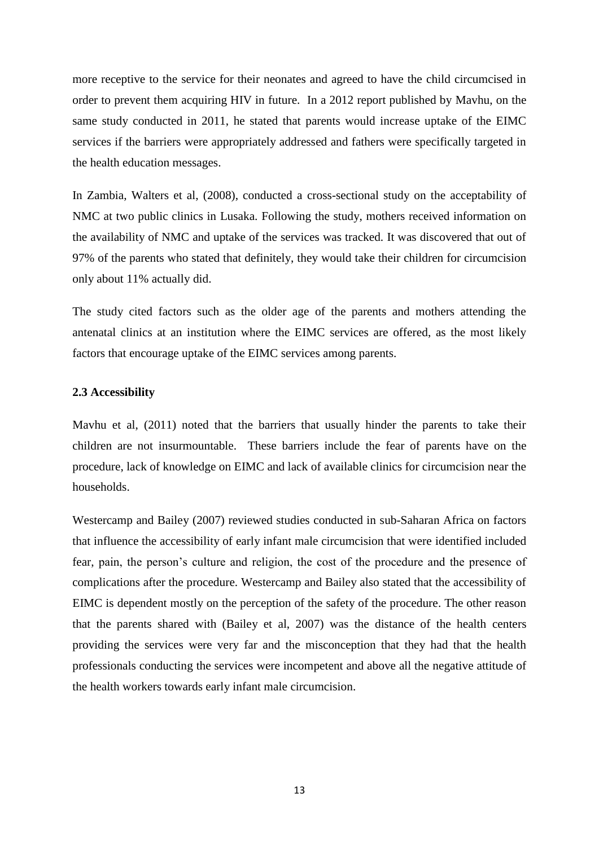more receptive to the service for their neonates and agreed to have the child circumcised in order to prevent them acquiring HIV in future. In a 2012 report published by Mavhu, on the same study conducted in 2011, he stated that parents would increase uptake of the EIMC services if the barriers were appropriately addressed and fathers were specifically targeted in the health education messages.

In Zambia, Walters et al, (2008), conducted a cross-sectional study on the acceptability of NMC at two public clinics in Lusaka. Following the study, mothers received information on the availability of NMC and uptake of the services was tracked. It was discovered that out of 97% of the parents who stated that definitely, they would take their children for circumcision only about 11% actually did.

The study cited factors such as the older age of the parents and mothers attending the antenatal clinics at an institution where the EIMC services are offered, as the most likely factors that encourage uptake of the EIMC services among parents.

#### <span id="page-26-0"></span>**2.3 Accessibility**

Mavhu et al, (2011) noted that the barriers that usually hinder the parents to take their children are not insurmountable. These barriers include the fear of parents have on the procedure, lack of knowledge on EIMC and lack of available clinics for circumcision near the households.

Westercamp and Bailey (2007) reviewed studies conducted in sub-Saharan Africa on factors that influence the accessibility of early infant male circumcision that were identified included fear, pain, the person"s culture and religion, the cost of the procedure and the presence of complications after the procedure. Westercamp and Bailey also stated that the accessibility of EIMC is dependent mostly on the perception of the safety of the procedure. The other reason that the parents shared with (Bailey et al, 2007) was the distance of the health centers providing the services were very far and the misconception that they had that the health professionals conducting the services were incompetent and above all the negative attitude of the health workers towards early infant male circumcision.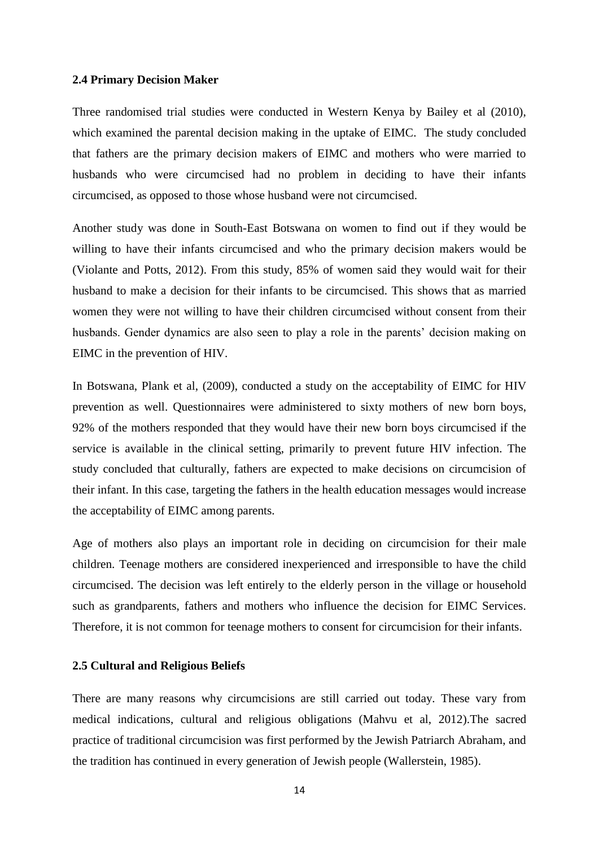#### <span id="page-27-0"></span>**2.4 Primary Decision Maker**

Three randomised trial studies were conducted in Western Kenya by Bailey et al (2010), which examined the parental decision making in the uptake of EIMC. The study concluded that fathers are the primary decision makers of EIMC and mothers who were married to husbands who were circumcised had no problem in deciding to have their infants circumcised, as opposed to those whose husband were not circumcised.

Another study was done in South-East Botswana on women to find out if they would be willing to have their infants circumcised and who the primary decision makers would be (Violante and Potts, 2012). From this study, 85% of women said they would wait for their husband to make a decision for their infants to be circumcised. This shows that as married women they were not willing to have their children circumcised without consent from their husbands. Gender dynamics are also seen to play a role in the parents' decision making on EIMC in the prevention of HIV.

In Botswana, Plank et al, (2009), conducted a study on the acceptability of EIMC for HIV prevention as well. Questionnaires were administered to sixty mothers of new born boys, 92% of the mothers responded that they would have their new born boys circumcised if the service is available in the clinical setting, primarily to prevent future HIV infection. The study concluded that culturally, fathers are expected to make decisions on circumcision of their infant. In this case, targeting the fathers in the health education messages would increase the acceptability of EIMC among parents.

Age of mothers also plays an important role in deciding on circumcision for their male children. Teenage mothers are considered inexperienced and irresponsible to have the child circumcised. The decision was left entirely to the elderly person in the village or household such as grandparents, fathers and mothers who influence the decision for EIMC Services. Therefore, it is not common for teenage mothers to consent for circumcision for their infants.

#### <span id="page-27-1"></span>**2.5 Cultural and Religious Beliefs**

There are many reasons why circumcisions are still carried out today. These vary from medical indications, cultural and religious obligations (Mahvu et al, 2012).The sacred practice of traditional circumcision was first performed by the Jewish Patriarch Abraham, and the tradition has continued in every generation of Jewish people (Wallerstein, 1985).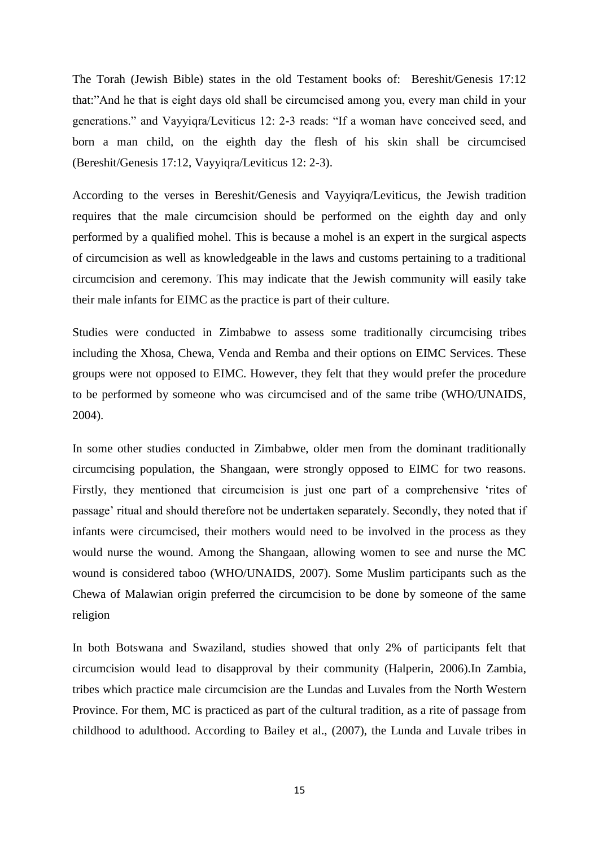The Torah (Jewish Bible) states in the old Testament books of: Bereshit/Genesis 17:12 that:"And he that is eight days old shall be circumcised among you, every man child in your generations." and Vayyiqra/Leviticus 12: 2-3 reads: "If a woman have conceived seed, and born a man child, on the eighth day the flesh of his skin shall be circumcised (Bereshit/Genesis 17:12, Vayyiqra/Leviticus 12: 2-3).

According to the verses in Bereshit/Genesis and Vayyiqra/Leviticus, the Jewish tradition requires that the male circumcision should be performed on the eighth day and only performed by a qualified mohel. This is because a mohel is an expert in the surgical aspects of circumcision as well as knowledgeable in the laws and customs pertaining to a traditional circumcision and ceremony. This may indicate that the Jewish community will easily take their male infants for EIMC as the practice is part of their culture.

Studies were conducted in Zimbabwe to assess some traditionally circumcising tribes including the Xhosa, Chewa, Venda and Remba and their options on EIMC Services. These groups were not opposed to EIMC. However, they felt that they would prefer the procedure to be performed by someone who was circumcised and of the same tribe (WHO/UNAIDS, 2004).

In some other studies conducted in Zimbabwe, older men from the dominant traditionally circumcising population, the Shangaan, were strongly opposed to EIMC for two reasons. Firstly, they mentioned that circumcision is just one part of a comprehensive "rites of passage" ritual and should therefore not be undertaken separately. Secondly, they noted that if infants were circumcised, their mothers would need to be involved in the process as they would nurse the wound. Among the Shangaan, allowing women to see and nurse the MC wound is considered taboo (WHO/UNAIDS, 2007). Some Muslim participants such as the Chewa of Malawian origin preferred the circumcision to be done by someone of the same religion

In both Botswana and Swaziland, studies showed that only 2% of participants felt that circumcision would lead to disapproval by their community (Halperin, 2006).In Zambia, tribes which practice male circumcision are the Lundas and Luvales from the North Western Province. For them, MC is practiced as part of the cultural tradition, as a rite of passage from childhood to adulthood. According to Bailey et al., (2007), the Lunda and Luvale tribes in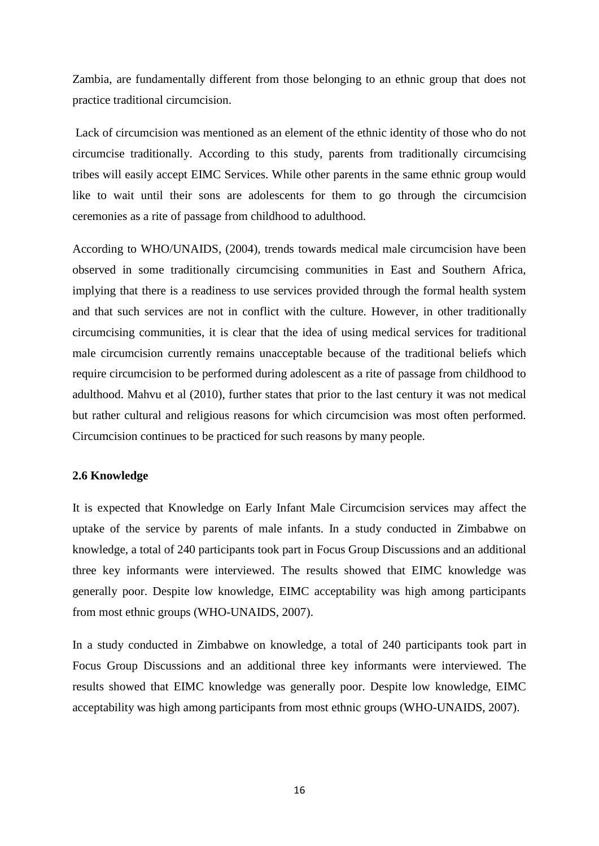Zambia, are fundamentally different from those belonging to an ethnic group that does not practice traditional circumcision.

Lack of circumcision was mentioned as an element of the ethnic identity of those who do not circumcise traditionally. According to this study, parents from traditionally circumcising tribes will easily accept EIMC Services. While other parents in the same ethnic group would like to wait until their sons are adolescents for them to go through the circumcision ceremonies as a rite of passage from childhood to adulthood.

According to WHO/UNAIDS, (2004), trends towards medical male circumcision have been observed in some traditionally circumcising communities in East and Southern Africa, implying that there is a readiness to use services provided through the formal health system and that such services are not in conflict with the culture. However, in other traditionally circumcising communities, it is clear that the idea of using medical services for traditional male circumcision currently remains unacceptable because of the traditional beliefs which require circumcision to be performed during adolescent as a rite of passage from childhood to adulthood. Mahvu et al (2010), further states that prior to the last century it was not medical but rather cultural and religious reasons for which circumcision was most often performed. Circumcision continues to be practiced for such reasons by many people.

#### <span id="page-29-0"></span>**2.6 Knowledge**

It is expected that Knowledge on Early Infant Male Circumcision services may affect the uptake of the service by parents of male infants. In a study conducted in Zimbabwe on knowledge, a total of 240 participants took part in Focus Group Discussions and an additional three key informants were interviewed. The results showed that EIMC knowledge was generally poor. Despite low knowledge, EIMC acceptability was high among participants from most ethnic groups (WHO-UNAIDS, 2007).

In a study conducted in Zimbabwe on knowledge, a total of 240 participants took part in Focus Group Discussions and an additional three key informants were interviewed. The results showed that EIMC knowledge was generally poor. Despite low knowledge, EIMC acceptability was high among participants from most ethnic groups (WHO-UNAIDS, 2007).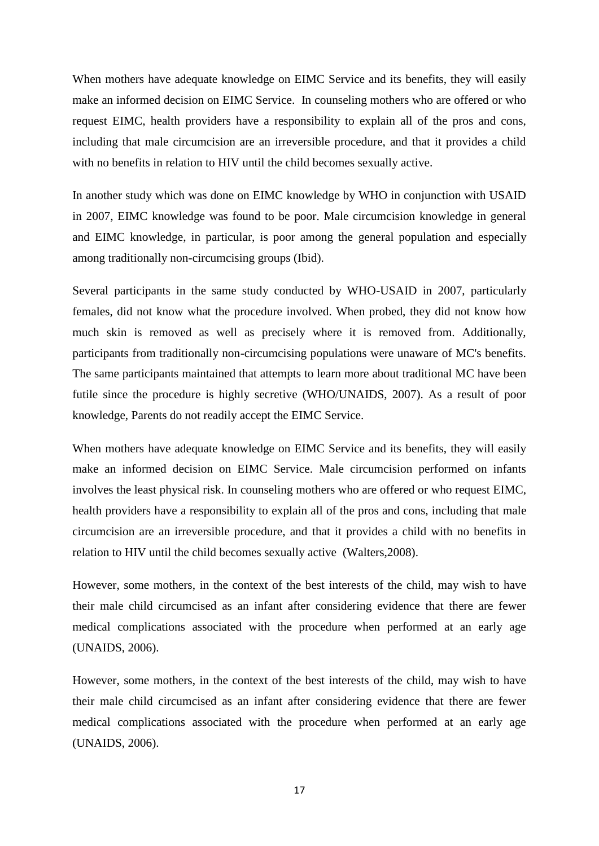When mothers have adequate knowledge on EIMC Service and its benefits, they will easily make an informed decision on EIMC Service. In counseling mothers who are offered or who request EIMC, health providers have a responsibility to explain all of the pros and cons, including that male circumcision are an irreversible procedure, and that it provides a child with no benefits in relation to HIV until the child becomes sexually active.

In another study which was done on EIMC knowledge by WHO in conjunction with USAID in 2007, EIMC knowledge was found to be poor. Male circumcision knowledge in general and EIMC knowledge, in particular, is poor among the general population and especially among traditionally non-circumcising groups (Ibid).

Several participants in the same study conducted by WHO-USAID in 2007, particularly females, did not know what the procedure involved. When probed, they did not know how much skin is removed as well as precisely where it is removed from. Additionally, participants from traditionally non-circumcising populations were unaware of MC's benefits. The same participants maintained that attempts to learn more about traditional MC have been futile since the procedure is highly secretive (WHO/UNAIDS, 2007). As a result of poor knowledge, Parents do not readily accept the EIMC Service.

When mothers have adequate knowledge on EIMC Service and its benefits, they will easily make an informed decision on EIMC Service. Male circumcision performed on infants involves the least physical risk. In counseling mothers who are offered or who request EIMC, health providers have a responsibility to explain all of the pros and cons, including that male circumcision are an irreversible procedure, and that it provides a child with no benefits in relation to HIV until the child becomes sexually active (Walters,2008).

However, some mothers, in the context of the best interests of the child, may wish to have their male child circumcised as an infant after considering evidence that there are fewer medical complications associated with the procedure when performed at an early age (UNAIDS, 2006).

However, some mothers, in the context of the best interests of the child, may wish to have their male child circumcised as an infant after considering evidence that there are fewer medical complications associated with the procedure when performed at an early age (UNAIDS, 2006).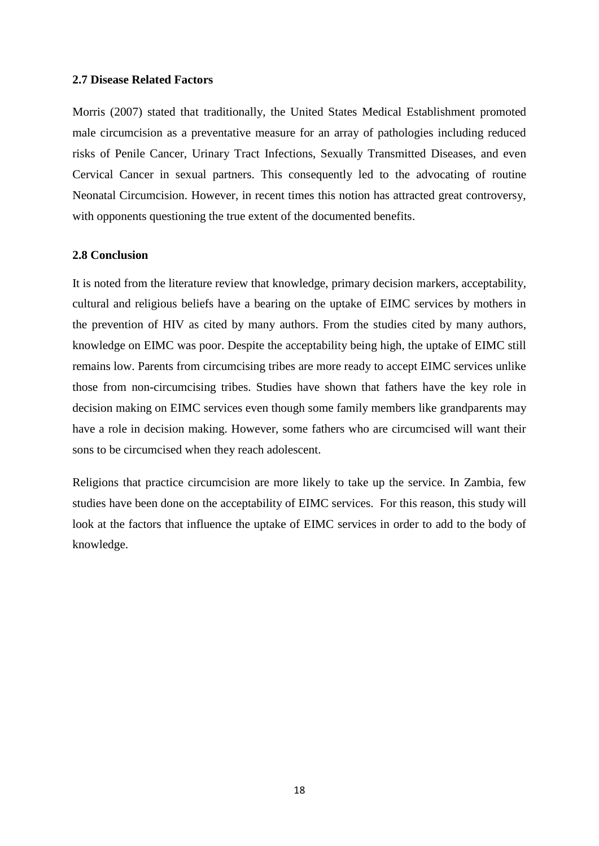#### <span id="page-31-0"></span>**2.7 Disease Related Factors**

Morris (2007) stated that traditionally, the United States Medical Establishment promoted male circumcision as a preventative measure for an array of pathologies including reduced risks of Penile Cancer, Urinary Tract Infections, Sexually Transmitted Diseases, and even Cervical Cancer in sexual partners. This consequently led to the advocating of routine Neonatal Circumcision. However, in recent times this notion has attracted great controversy, with opponents questioning the true extent of the documented benefits.

## <span id="page-31-1"></span>**2.8 Conclusion**

It is noted from the literature review that knowledge, primary decision markers, acceptability, cultural and religious beliefs have a bearing on the uptake of EIMC services by mothers in the prevention of HIV as cited by many authors. From the studies cited by many authors, knowledge on EIMC was poor. Despite the acceptability being high, the uptake of EIMC still remains low. Parents from circumcising tribes are more ready to accept EIMC services unlike those from non-circumcising tribes. Studies have shown that fathers have the key role in decision making on EIMC services even though some family members like grandparents may have a role in decision making. However, some fathers who are circumcised will want their sons to be circumcised when they reach adolescent.

Religions that practice circumcision are more likely to take up the service. In Zambia, few studies have been done on the acceptability of EIMC services. For this reason, this study will look at the factors that influence the uptake of EIMC services in order to add to the body of knowledge.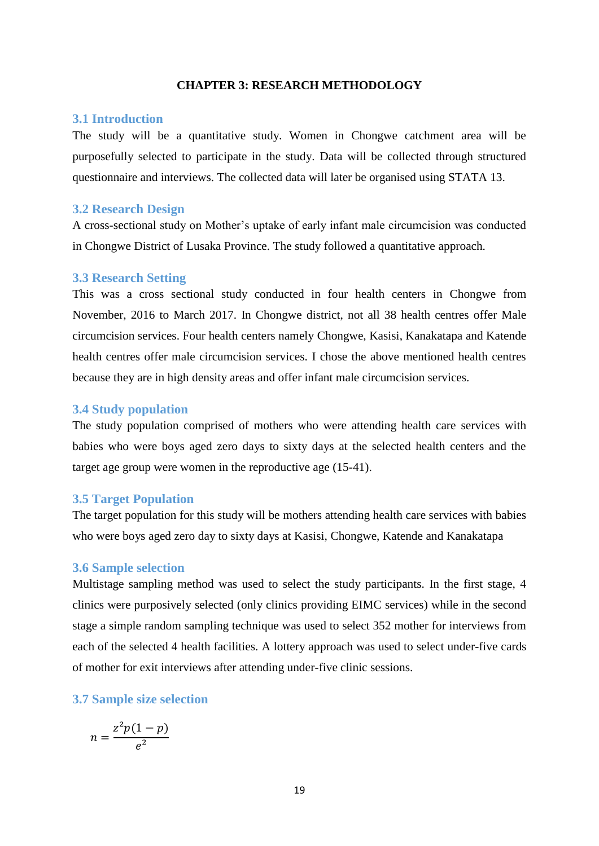#### **CHAPTER 3: RESEARCH METHODOLOGY**

#### <span id="page-32-1"></span><span id="page-32-0"></span>**3.1 Introduction**

The study will be a quantitative study. Women in Chongwe catchment area will be purposefully selected to participate in the study. Data will be collected through structured questionnaire and interviews. The collected data will later be organised using STATA 13.

#### <span id="page-32-2"></span>**3.2 Research Design**

A cross-sectional study on Mother"s uptake of early infant male circumcision was conducted in Chongwe District of Lusaka Province. The study followed a quantitative approach.

#### <span id="page-32-3"></span>**3.3 Research Setting**

This was a cross sectional study conducted in four health centers in Chongwe from November, 2016 to March 2017. In Chongwe district, not all 38 health centres offer Male circumcision services. Four health centers namely Chongwe, Kasisi, Kanakatapa and Katende health centres offer male circumcision services. I chose the above mentioned health centres because they are in high density areas and offer infant male circumcision services.

#### <span id="page-32-4"></span>**3.4 Study population**

The study population comprised of mothers who were attending health care services with babies who were boys aged zero days to sixty days at the selected health centers and the target age group were women in the reproductive age (15-41).

#### <span id="page-32-5"></span>**3.5 Target Population**

The target population for this study will be mothers attending health care services with babies who were boys aged zero day to sixty days at Kasisi, Chongwe, Katende and Kanakatapa

#### <span id="page-32-6"></span>**3.6 Sample selection**

Multistage sampling method was used to select the study participants. In the first stage, 4 clinics were purposively selected (only clinics providing EIMC services) while in the second stage a simple random sampling technique was used to select 352 mother for interviews from each of the selected 4 health facilities. A lottery approach was used to select under-five cards of mother for exit interviews after attending under-five clinic sessions.

### <span id="page-32-7"></span>**3.7 Sample size selection**

$$
n = \frac{z^2 p(1-p)}{e^2}
$$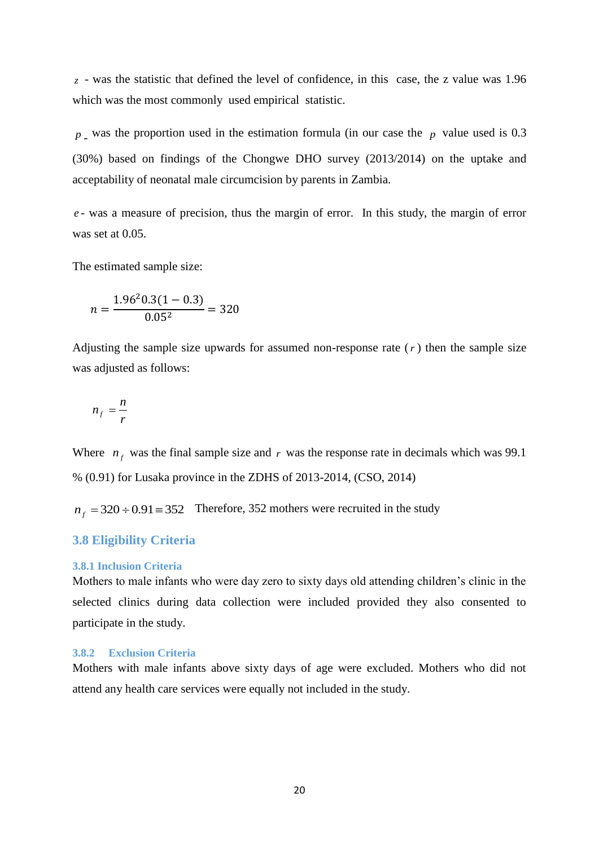*z* - was the statistic that defined the level of confidence, in this case, the z value was 1.96 which was the most commonly used empirical statistic.

 $p_{\text{I}}$  was the proportion used in the estimation formula (in our case the  $p$  value used is 0.3 (30%) based on findings of the Chongwe DHO survey (2013/2014) on the uptake and acceptability of neonatal male circumcision by parents in Zambia.

*e* - was a measure of precision, thus the margin of error. In this study, the margin of error was set at 0.05.

The estimated sample size:

$$
n = \frac{1.96^2 0.3(1 - 0.3)}{0.05^2} = 320
$$

Adjusting the sample size upwards for assumed non-response rate  $(r)$  then the sample size was adjusted as follows:

$$
n_f = \frac{n}{r}
$$

Where  $n_f$  was the final sample size and r was the response rate in decimals which was 99.1 % (0.91) for Lusaka province in the ZDHS of 2013-2014, (CSO, 2014)

 $n_f = 320 \div 0.91 \equiv 352$  Therefore, 352 mothers were recruited in the study

#### <span id="page-33-0"></span>**3.8 Eligibility Criteria**

#### <span id="page-33-1"></span>**3.8.1 Inclusion Criteria**

Mothers to male infants who were day zero to sixty days old attending children"s clinic in the selected clinics during data collection were included provided they also consented to participate in the study.

#### <span id="page-33-2"></span>**3.8.2 Exclusion Criteria**

Mothers with male infants above sixty days of age were excluded. Mothers who did not attend any health care services were equally not included in the study.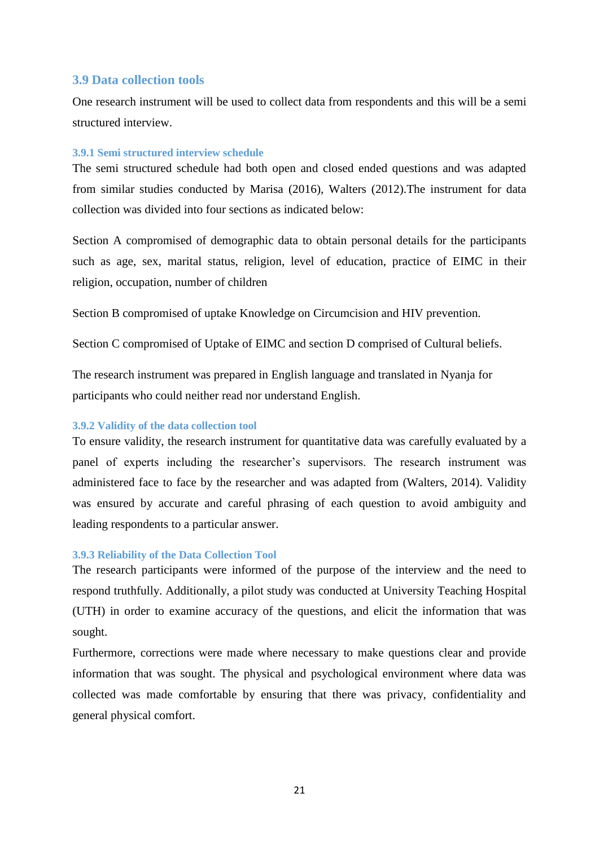# **3.9 Data collection tools**

One research instrument will be used to collect data from respondents and this will be a semi structured interview.

#### <span id="page-34-0"></span>**3.9.1 Semi structured interview schedule**

The semi structured schedule had both open and closed ended questions and was adapted from similar studies conducted by Marisa (2016), Walters (2012).The instrument for data collection was divided into four sections as indicated below:

Section A compromised of demographic data to obtain personal details for the participants such as age, sex, marital status, religion, level of education, practice of EIMC in their religion, occupation, number of children

Section B compromised of uptake Knowledge on Circumcision and HIV prevention.

Section C compromised of Uptake of EIMC and section D comprised of Cultural beliefs.

The research instrument was prepared in English language and translated in Nyanja for participants who could neither read nor understand English.

### <span id="page-34-1"></span>**3.9.2 Validity of the data collection tool**

To ensure validity, the research instrument for quantitative data was carefully evaluated by a panel of experts including the researcher"s supervisors. The research instrument was administered face to face by the researcher and was adapted from (Walters, 2014). Validity was ensured by accurate and careful phrasing of each question to avoid ambiguity and leading respondents to a particular answer.

#### <span id="page-34-2"></span>**3.9.3 Reliability of the Data Collection Tool**

The research participants were informed of the purpose of the interview and the need to respond truthfully. Additionally, a pilot study was conducted at University Teaching Hospital (UTH) in order to examine accuracy of the questions, and elicit the information that was sought.

Furthermore, corrections were made where necessary to make questions clear and provide information that was sought. The physical and psychological environment where data was collected was made comfortable by ensuring that there was privacy, confidentiality and general physical comfort.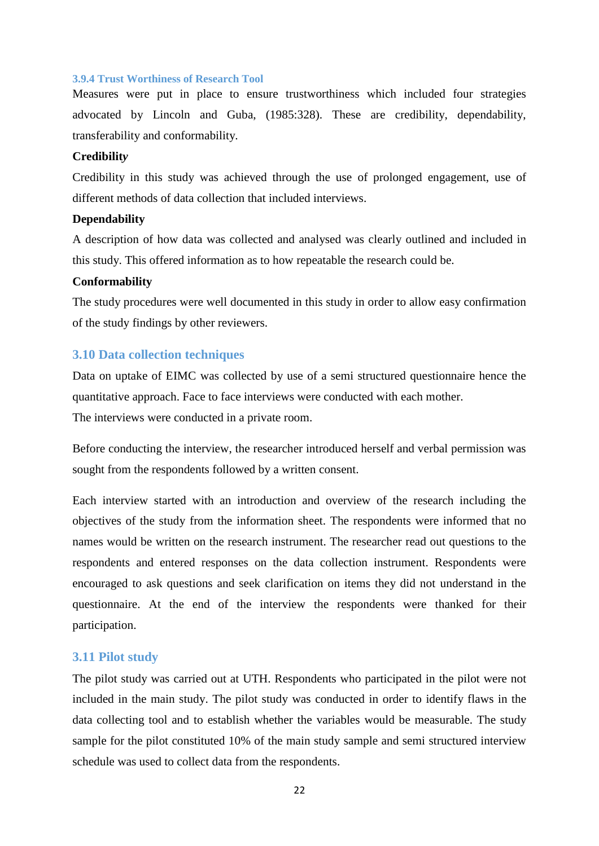#### <span id="page-35-0"></span>**3.9.4 Trust Worthiness of Research Tool**

Measures were put in place to ensure trustworthiness which included four strategies advocated by Lincoln and Guba, (1985:328). These are credibility, dependability, transferability and conformability.

#### **Credibilit***y*

Credibility in this study was achieved through the use of prolonged engagement, use of different methods of data collection that included interviews.

#### **Dependability**

A description of how data was collected and analysed was clearly outlined and included in this study. This offered information as to how repeatable the research could be.

# **Conformability**

The study procedures were well documented in this study in order to allow easy confirmation of the study findings by other reviewers.

#### **3.10 Data collection techniques**

Data on uptake of EIMC was collected by use of a semi structured questionnaire hence the quantitative approach. Face to face interviews were conducted with each mother. The interviews were conducted in a private room.

Before conducting the interview, the researcher introduced herself and verbal permission was sought from the respondents followed by a written consent.

Each interview started with an introduction and overview of the research including the objectives of the study from the information sheet. The respondents were informed that no names would be written on the research instrument. The researcher read out questions to the respondents and entered responses on the data collection instrument. Respondents were encouraged to ask questions and seek clarification on items they did not understand in the questionnaire. At the end of the interview the respondents were thanked for their participation.

#### **3.11 Pilot study**

The pilot study was carried out at UTH. Respondents who participated in the pilot were not included in the main study. The pilot study was conducted in order to identify flaws in the data collecting tool and to establish whether the variables would be measurable. The study sample for the pilot constituted 10% of the main study sample and semi structured interview schedule was used to collect data from the respondents.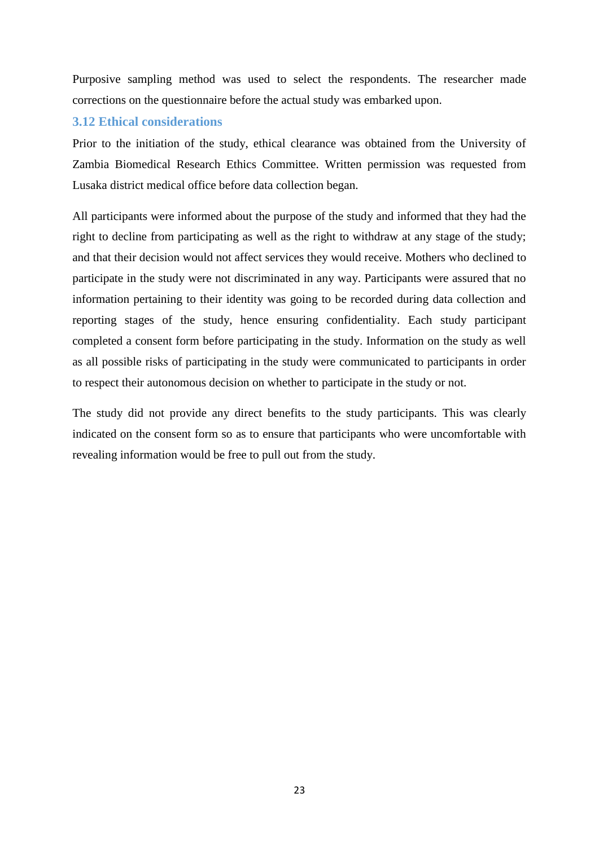Purposive sampling method was used to select the respondents. The researcher made corrections on the questionnaire before the actual study was embarked upon.

# **3.12 Ethical considerations**

Prior to the initiation of the study, ethical clearance was obtained from the University of Zambia Biomedical Research Ethics Committee. Written permission was requested from Lusaka district medical office before data collection began.

All participants were informed about the purpose of the study and informed that they had the right to decline from participating as well as the right to withdraw at any stage of the study; and that their decision would not affect services they would receive. Mothers who declined to participate in the study were not discriminated in any way. Participants were assured that no information pertaining to their identity was going to be recorded during data collection and reporting stages of the study, hence ensuring confidentiality. Each study participant completed a consent form before participating in the study. Information on the study as well as all possible risks of participating in the study were communicated to participants in order to respect their autonomous decision on whether to participate in the study or not.

The study did not provide any direct benefits to the study participants. This was clearly indicated on the consent form so as to ensure that participants who were uncomfortable with revealing information would be free to pull out from the study.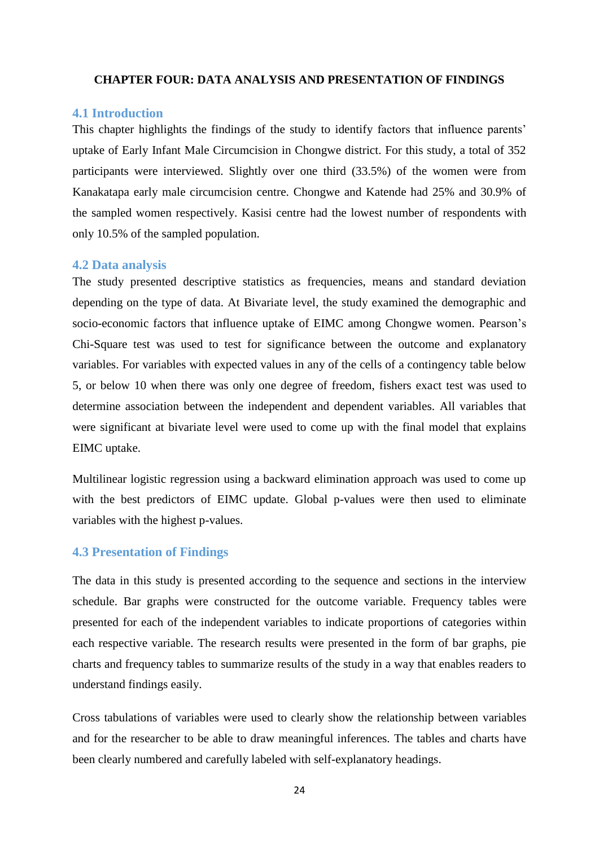#### <span id="page-37-0"></span>**CHAPTER FOUR: DATA ANALYSIS AND PRESENTATION OF FINDINGS**

#### <span id="page-37-1"></span>**4.1 Introduction**

This chapter highlights the findings of the study to identify factors that influence parents' uptake of Early Infant Male Circumcision in Chongwe district. For this study, a total of 352 participants were interviewed. Slightly over one third (33.5%) of the women were from Kanakatapa early male circumcision centre. Chongwe and Katende had 25% and 30.9% of the sampled women respectively. Kasisi centre had the lowest number of respondents with only 10.5% of the sampled population.

#### <span id="page-37-2"></span>**4.2 Data analysis**

The study presented descriptive statistics as frequencies, means and standard deviation depending on the type of data. At Bivariate level, the study examined the demographic and socio-economic factors that influence uptake of EIMC among Chongwe women. Pearson"s Chi-Square test was used to test for significance between the outcome and explanatory variables. For variables with expected values in any of the cells of a contingency table below 5, or below 10 when there was only one degree of freedom, fishers exact test was used to determine association between the independent and dependent variables. All variables that were significant at bivariate level were used to come up with the final model that explains EIMC uptake.

Multilinear logistic regression using a backward elimination approach was used to come up with the best predictors of EIMC update. Global p-values were then used to eliminate variables with the highest p-values.

# <span id="page-37-3"></span>**4.3 Presentation of Findings**

The data in this study is presented according to the sequence and sections in the interview schedule. Bar graphs were constructed for the outcome variable. Frequency tables were presented for each of the independent variables to indicate proportions of categories within each respective variable. The research results were presented in the form of bar graphs, pie charts and frequency tables to summarize results of the study in a way that enables readers to understand findings easily.

Cross tabulations of variables were used to clearly show the relationship between variables and for the researcher to be able to draw meaningful inferences. The tables and charts have been clearly numbered and carefully labeled with self-explanatory headings.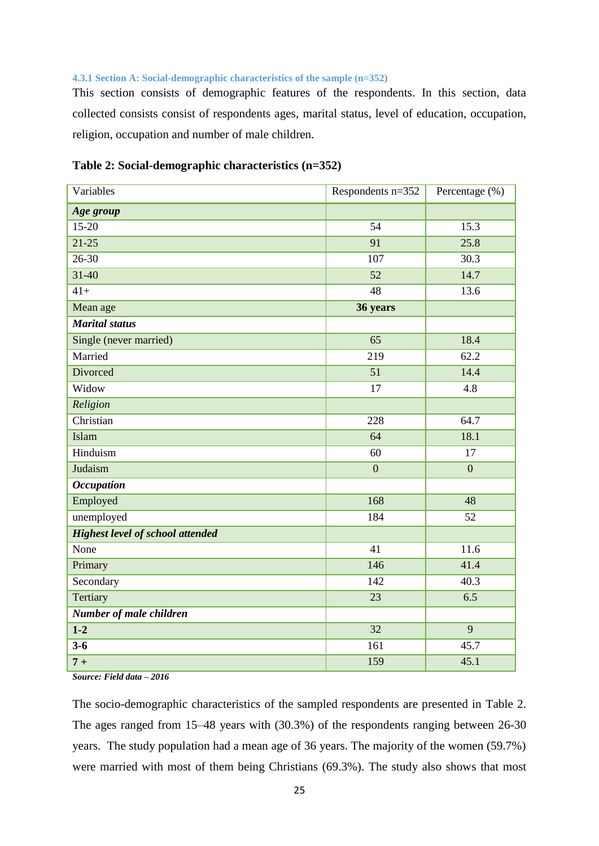#### <span id="page-38-0"></span>**4.3.1 Section A: Social-demographic characteristics of the sample (n=352)**

This section consists of demographic features of the respondents. In this section, data collected consists consist of respondents ages, marital status, level of education, occupation, religion, occupation and number of male children.

| Variables                               | Respondents n=352 | Percentage (%) |
|-----------------------------------------|-------------------|----------------|
| Age group                               |                   |                |
| $15 - 20$                               | 54                | 15.3           |
| $21-25$                                 | 91                | 25.8           |
| $26 - 30$                               | 107               | 30.3           |
| $31 - 40$                               | 52                | 14.7           |
| $41+$                                   | 48                | 13.6           |
| Mean age                                | 36 years          |                |
| <b>Marital</b> status                   |                   |                |
| Single (never married)                  | 65                | 18.4           |
| Married                                 | 219               | 62.2           |
| Divorced                                | 51                | 14.4           |
| Widow                                   | 17                | 4.8            |
| Religion                                |                   |                |
| Christian                               | 228               | 64.7           |
| Islam                                   | 64                | 18.1           |
| Hinduism<br>60                          |                   | 17             |
| Judaism                                 | $\overline{0}$    | $\overline{0}$ |
| <b>Occupation</b>                       |                   |                |
| Employed                                | 168               | 48             |
| unemployed                              | 184               | 52             |
| <b>Highest level of school attended</b> |                   |                |
| None                                    | 41                | 11.6           |
| Primary                                 | 146               | 41.4           |
| Secondary                               | 142               | 40.3           |
| Tertiary                                | 23                | 6.5            |
| Number of male children                 |                   |                |
| $1 - 2$                                 | 32                | 9              |
| $3 - 6$                                 | 161               | 45.7           |
| $7+$                                    | 159               | 45.1           |

## **Table 2: Social-demographic characteristics (n=352)**

*Source: Field data – 2016* 

The socio-demographic characteristics of the sampled respondents are presented in Table 2. The ages ranged from 15–48 years with (30.3%) of the respondents ranging between 26-30 years. The study population had a mean age of 36 years. The majority of the women (59.7%) were married with most of them being Christians (69.3%). The study also shows that most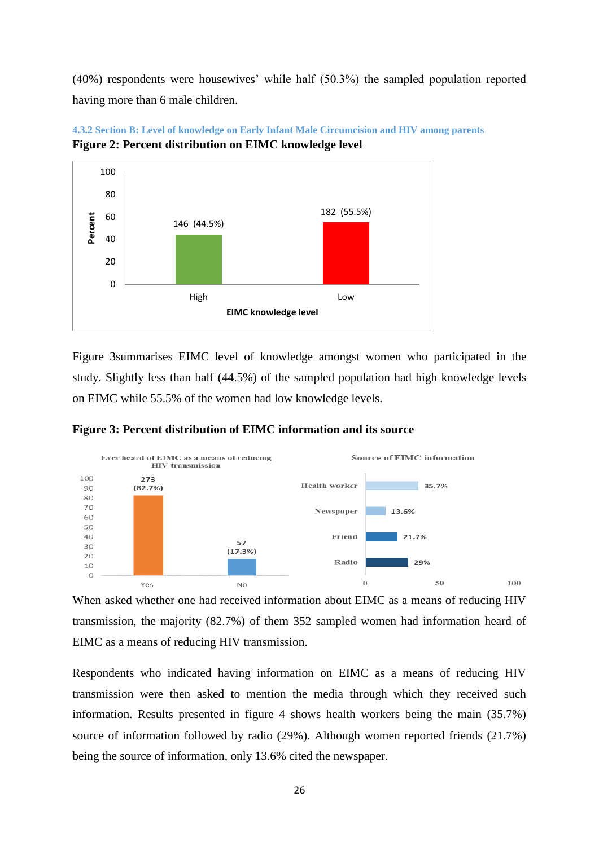(40%) respondents were housewives" while half (50.3%) the sampled population reported having more than 6 male children.



<span id="page-39-0"></span>**4.3.2 Section B: Level of knowledge on Early Infant Male Circumcision and HIV among parents Figure 2: Percent distribution on EIMC knowledge level**

Figure 3summarises EIMC level of knowledge amongst women who participated in the study. Slightly less than half (44.5%) of the sampled population had high knowledge levels on EIMC while 55.5% of the women had low knowledge levels.



**Figure 3: Percent distribution of EIMC information and its source**

When asked whether one had received information about EIMC as a means of reducing HIV transmission, the majority (82.7%) of them 352 sampled women had information heard of EIMC as a means of reducing HIV transmission.

Respondents who indicated having information on EIMC as a means of reducing HIV transmission were then asked to mention the media through which they received such information. Results presented in figure 4 shows health workers being the main (35.7%) source of information followed by radio (29%). Although women reported friends (21.7%) being the source of information, only 13.6% cited the newspaper.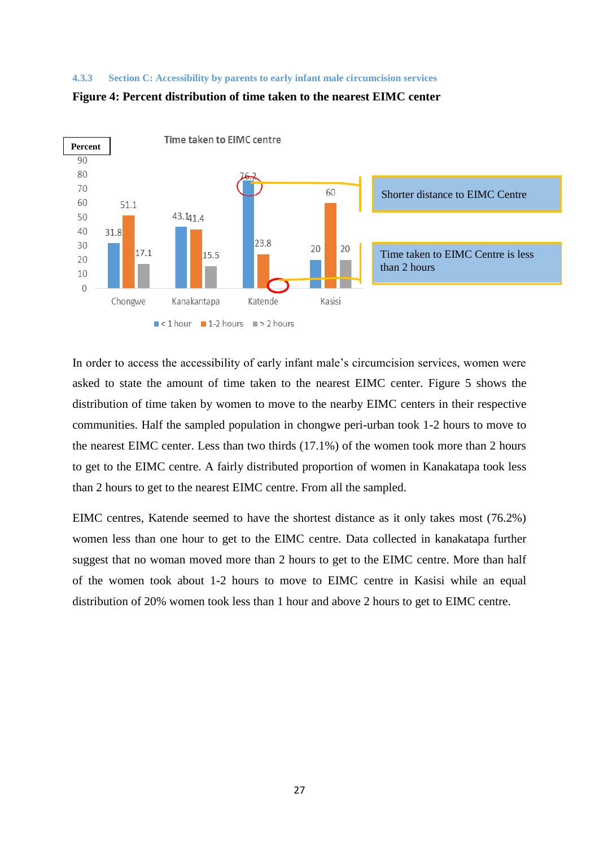#### <span id="page-40-0"></span>**4.3.3 Section C: Accessibility by parents to early infant male circumcision services**



#### **Figure 4: Percent distribution of time taken to the nearest EIMC center**

In order to access the accessibility of early infant male's circumcision services, women were asked to state the amount of time taken to the nearest EIMC center. Figure 5 shows the distribution of time taken by women to move to the nearby EIMC centers in their respective communities. Half the sampled population in chongwe peri-urban took 1-2 hours to move to the nearest EIMC center. Less than two thirds (17.1%) of the women took more than 2 hours to get to the EIMC centre. A fairly distributed proportion of women in Kanakatapa took less than 2 hours to get to the nearest EIMC centre. From all the sampled.

EIMC centres, Katende seemed to have the shortest distance as it only takes most (76.2%) women less than one hour to get to the EIMC centre. Data collected in kanakatapa further suggest that no woman moved more than 2 hours to get to the EIMC centre. More than half of the women took about 1-2 hours to move to EIMC centre in Kasisi while an equal distribution of 20% women took less than 1 hour and above 2 hours to get to EIMC centre.

27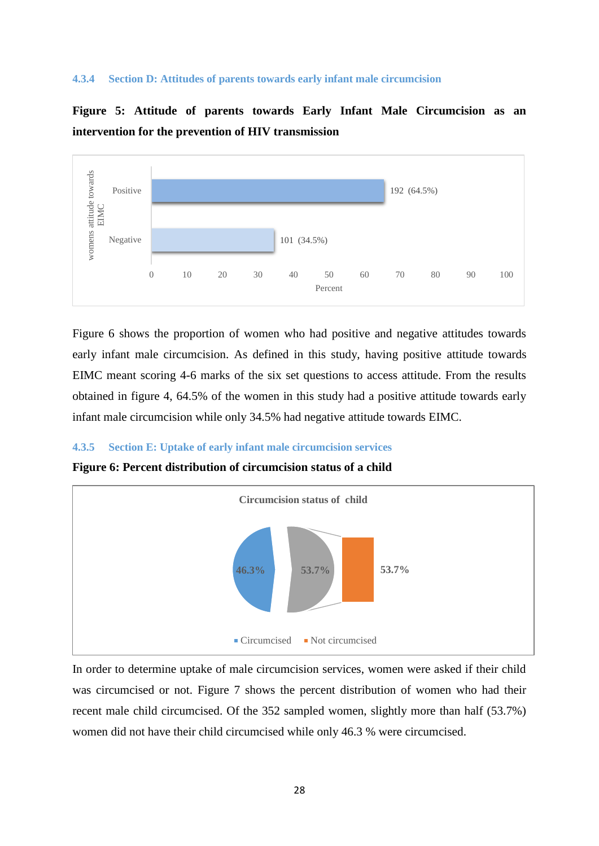#### <span id="page-41-0"></span>**4.3.4 Section D: Attitudes of parents towards early infant male circumcision**

**Figure 5: Attitude of parents towards Early Infant Male Circumcision as an intervention for the prevention of HIV transmission**



Figure 6 shows the proportion of women who had positive and negative attitudes towards early infant male circumcision. As defined in this study, having positive attitude towards EIMC meant scoring 4-6 marks of the six set questions to access attitude. From the results obtained in figure 4, 64.5% of the women in this study had a positive attitude towards early infant male circumcision while only 34.5% had negative attitude towards EIMC.

#### <span id="page-41-1"></span>**4.3.5 Section E: Uptake of early infant male circumcision services**

**Figure 6: Percent distribution of circumcision status of a child**



In order to determine uptake of male circumcision services, women were asked if their child was circumcised or not. Figure 7 shows the percent distribution of women who had their recent male child circumcised. Of the 352 sampled women, slightly more than half (53.7%) women did not have their child circumcised while only 46.3 % were circumcised.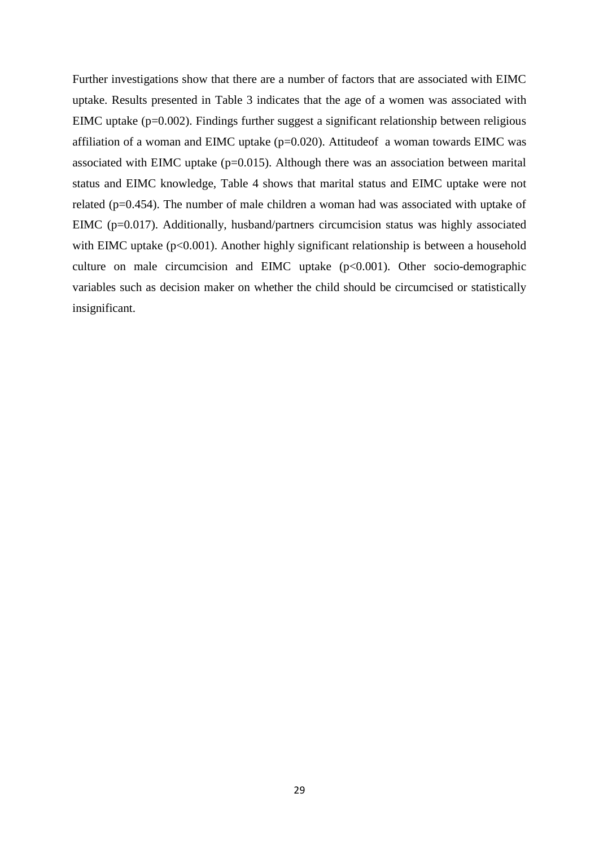Further investigations show that there are a number of factors that are associated with EIMC uptake. Results presented in Table 3 indicates that the age of a women was associated with EIMC uptake (p=0.002). Findings further suggest a significant relationship between religious affiliation of a woman and EIMC uptake (p=0.020). Attitudeof a woman towards EIMC was associated with EIMC uptake  $(p=0.015)$ . Although there was an association between marital status and EIMC knowledge, Table 4 shows that marital status and EIMC uptake were not related (p=0.454). The number of male children a woman had was associated with uptake of EIMC (p=0.017). Additionally, husband/partners circumcision status was highly associated with EIMC uptake  $(p<0.001)$ . Another highly significant relationship is between a household culture on male circumcision and EIMC uptake (p<0.001). Other socio-demographic variables such as decision maker on whether the child should be circumcised or statistically insignificant.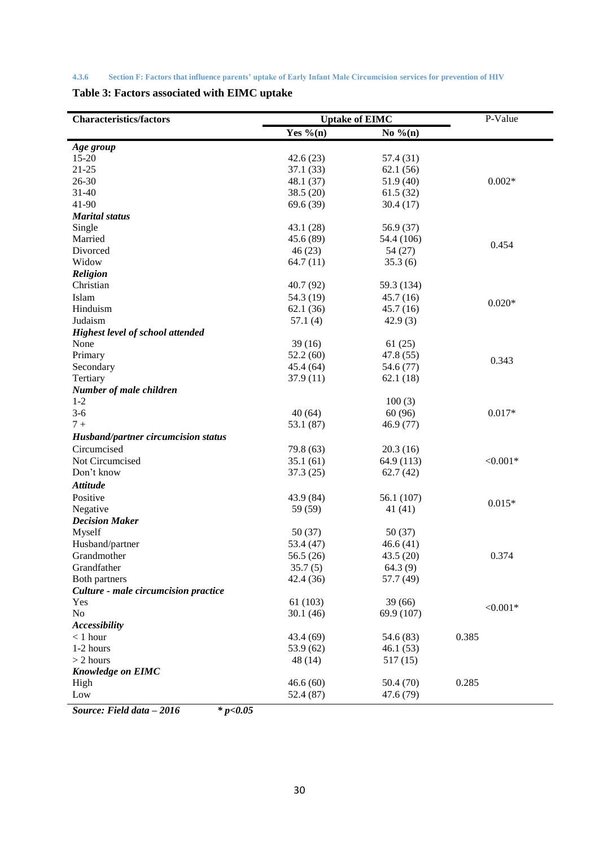<span id="page-43-0"></span>

|--|

**Table 3: Factors associated with EIMC uptake**

| <b>Characteristics/factors</b>          | <b>Uptake of EIMC</b> |             | P-Value    |
|-----------------------------------------|-----------------------|-------------|------------|
|                                         | Yes % $(n)$           | No $\%$ (n) |            |
| Age group                               |                       |             |            |
| $15 - 20$                               | 42.6(23)              | 57.4 (31)   |            |
| $21 - 25$                               | 37.1(33)              | 62.1(56)    |            |
| 26-30                                   | 48.1 (37)             | 51.9 (40)   | $0.002*$   |
| $31 - 40$                               | 38.5(20)              | 61.5(32)    |            |
| 41-90                                   | 69.6 (39)             | 30.4(17)    |            |
| <b>Marital</b> status                   |                       |             |            |
| Single                                  | 43.1 (28)             | 56.9 (37)   |            |
| Married                                 | 45.6 (89)             | 54.4 (106)  |            |
| Divorced                                | 46(23)                | 54 (27)     | 0.454      |
| Widow                                   | 64.7(11)              | 35.3(6)     |            |
| <b>Religion</b>                         |                       |             |            |
| Christian                               | 40.7 (92)             | 59.3 (134)  |            |
| Islam                                   | 54.3 (19)             | 45.7(16)    |            |
| Hinduism                                | 62.1(36)              | 45.7(16)    | $0.020*$   |
| Judaism                                 | 57.1(4)               | 42.9(3)     |            |
| <b>Highest level of school attended</b> |                       |             |            |
| None                                    | 39(16)                | 61(25)      |            |
| Primary                                 | 52.2(60)              | 47.8 (55)   |            |
| Secondary                               | 45.4 (64)             | 54.6 (77)   | 0.343      |
| Tertiary                                | 37.9(11)              | 62.1(18)    |            |
| Number of male children                 |                       |             |            |
| $1 - 2$                                 |                       | 100(3)      |            |
| $3-6$                                   | 40(64)                | 60 (96)     | $0.017*$   |
| $7+$                                    | 53.1 (87)             | 46.9(77)    |            |
| Husband/partner circumcision status     |                       |             |            |
| Circumcised                             | 79.8 (63)             | 20.3(16)    |            |
| Not Circumcised                         | 35.1(61)              | 64.9 (113)  | $< 0.001*$ |
| Don't know                              | 37.3(25)              | 62.7(42)    |            |
| <b>Attitude</b>                         |                       |             |            |
| Positive                                | 43.9 (84)             | 56.1 (107)  |            |
| Negative                                | 59 (59)               | 41 (41)     | $0.015*$   |
| <b>Decision Maker</b>                   |                       |             |            |
| Myself                                  | 50(37)                | 50(37)      |            |
| Husband/partner                         | 53.4 (47)             | 46.6(41)    |            |
| Grandmother                             | 56.5(26)              | 43.5(20)    | 0.374      |
| Grandfather                             | 35.7(5)               | 64.3(9)     |            |
| Both partners                           | 42.4 (36)             | 57.7 (49)   |            |
| Culture - male circumcision practice    |                       |             |            |
| Yes                                     | 61(103)               | 39(66)      |            |
| No                                      | 30.1(46)              | 69.9 (107)  | $< 0.001*$ |
| <b>Accessibility</b>                    |                       |             |            |
| $< 1$ hour                              | 43.4 (69)             | 54.6 (83)   | 0.385      |
| 1-2 hours                               | 53.9 (62)             | 46.1(53)    |            |
| $> 2$ hours                             | 48(14)                | 517 (15)    |            |
| <b>Knowledge on EIMC</b>                |                       |             |            |
| High                                    | 46.6(60)              | 50.4(70)    | 0.285      |
| Low                                     | 52.4 (87)             | 47.6 (79)   |            |
|                                         |                       |             |            |

*Source: Field data – 2016 \* p<0.05*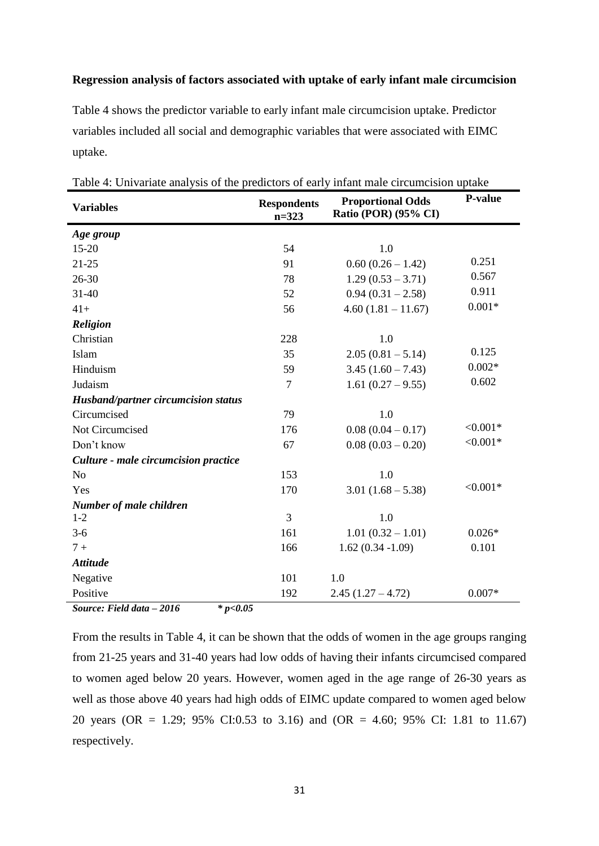#### **Regression analysis of factors associated with uptake of early infant male circumcision**

Table 4 shows the predictor variable to early infant male circumcision uptake. Predictor variables included all social and demographic variables that were associated with EIMC uptake.

| <b>Respondents</b><br>$n = 323$ | <b>Proportional Odds</b><br>Ratio (POR) (95% CI) | P-value    |
|---------------------------------|--------------------------------------------------|------------|
|                                 |                                                  |            |
| 54                              | 1.0                                              |            |
| 91                              | $0.60(0.26 - 1.42)$                              | 0.251      |
| 78                              | $1.29(0.53 - 3.71)$                              | 0.567      |
| 52                              | $0.94(0.31 - 2.58)$                              | 0.911      |
| 56                              | $4.60(1.81 - 11.67)$                             | $0.001*$   |
|                                 |                                                  |            |
| 228                             | 1.0                                              |            |
| 35                              | $2.05(0.81 - 5.14)$                              | 0.125      |
| 59                              | $3.45(1.60 - 7.43)$                              | $0.002*$   |
| $\overline{7}$                  | $1.61(0.27-9.55)$                                | 0.602      |
|                                 |                                                  |            |
| 79                              | 1.0                                              |            |
| 176                             | $0.08(0.04 - 0.17)$                              | $< 0.001*$ |
| 67                              | $0.08(0.03 - 0.20)$                              | $< 0.001*$ |
|                                 |                                                  |            |
| 153                             | 1.0                                              |            |
| 170                             | $3.01(1.68 - 5.38)$                              | $< 0.001*$ |
|                                 |                                                  |            |
|                                 | 1.0                                              |            |
| 161                             | $1.01(0.32 - 1.01)$                              | $0.026*$   |
| 166                             | $1.62(0.34 - 1.09)$                              | 0.101      |
|                                 |                                                  |            |
| 101                             | 1.0                                              |            |
| 192                             | $2.45(1.27 - 4.72)$                              | $0.007*$   |
|                                 | 3<br>AC                                          |            |

Table 4: Univariate analysis of the predictors of early infant male circumcision uptake

*Source: Field data – 2016 \* p<0.05*

From the results in Table 4, it can be shown that the odds of women in the age groups ranging from 21-25 years and 31-40 years had low odds of having their infants circumcised compared to women aged below 20 years. However, women aged in the age range of 26-30 years as well as those above 40 years had high odds of EIMC update compared to women aged below 20 years (OR = 1.29; 95% CI:0.53 to 3.16) and (OR = 4.60; 95% CI: 1.81 to 11.67) respectively.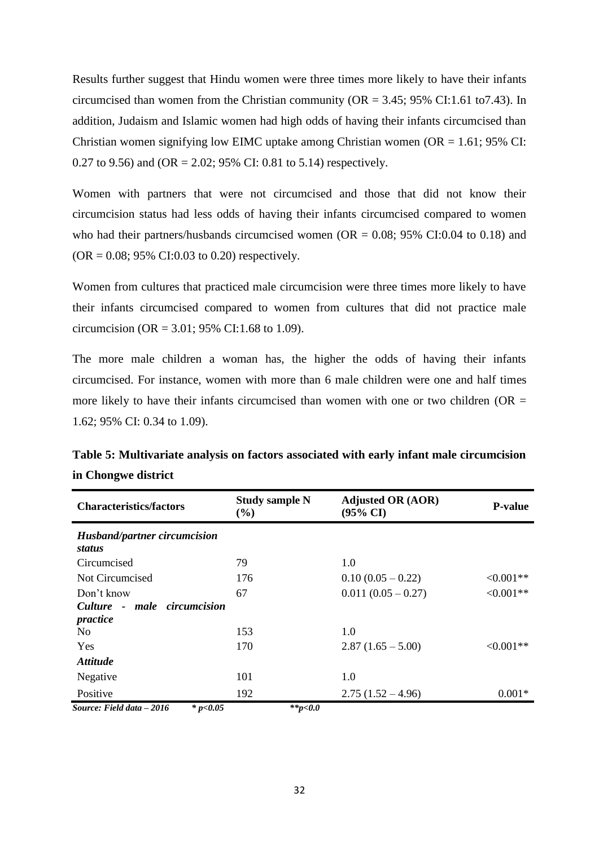Results further suggest that Hindu women were three times more likely to have their infants circumcised than women from the Christian community ( $OR = 3.45$ ; 95% CI:1.61 to7.43). In addition, Judaism and Islamic women had high odds of having their infants circumcised than Christian women signifying low EIMC uptake among Christian women  $OR = 1.61$ ; 95% CI: 0.27 to 9.56) and (OR = 2.02; 95% CI: 0.81 to 5.14) respectively.

Women with partners that were not circumcised and those that did not know their circumcision status had less odds of having their infants circumcised compared to women who had their partners/husbands circumcised women  $(OR = 0.08; 95\% \text{ CI: } 0.04 \text{ to } 0.18)$  and  $(OR = 0.08; 95\% \text{ CI: } 0.03 \text{ to } 0.20)$  respectively.

Women from cultures that practiced male circumcision were three times more likely to have their infants circumcised compared to women from cultures that did not practice male circumcision (OR = 3.01; 95% CI:1.68 to 1.09).

The more male children a woman has, the higher the odds of having their infants circumcised. For instance, women with more than 6 male children were one and half times more likely to have their infants circumcised than women with one or two children ( $OR =$ 1.62; 95% CI: 0.34 to 1.09).

| <b>Characteristics/factors</b>          | <b>Study sample N</b><br>$(\%)$ | <b>Adjusted OR (AOR)</b><br>$(95\% \text{ CI})$ | <b>P-value</b> |
|-----------------------------------------|---------------------------------|-------------------------------------------------|----------------|
| Husband/partner circumcision<br>status  |                                 |                                                 |                |
| Circumcised                             | 79                              | 1.0                                             |                |
| Not Circumcised                         | 176                             | $0.10(0.05-0.22)$                               | $<0.001**$     |
| Don't know                              | 67                              | $0.011(0.05-0.27)$                              | $<0.001**$     |
| Culture - male circumcision<br>practice |                                 |                                                 |                |
| N <sub>0</sub>                          | 153                             | 1.0                                             |                |
| Yes                                     | 170                             | $2.87(1.65-5.00)$                               | $< 0.001**$    |
| <i><b>Attitude</b></i>                  |                                 |                                                 |                |
| Negative                                | 101                             | 1.0                                             |                |
| Positive                                | 192                             | $2.75(1.52 - 4.96)$                             | $0.001*$       |
| Source: Field data - 2016<br>* $p<0.05$ | **p<0.0                         |                                                 |                |

**Table 5: Multivariate analysis on factors associated with early infant male circumcision in Chongwe district**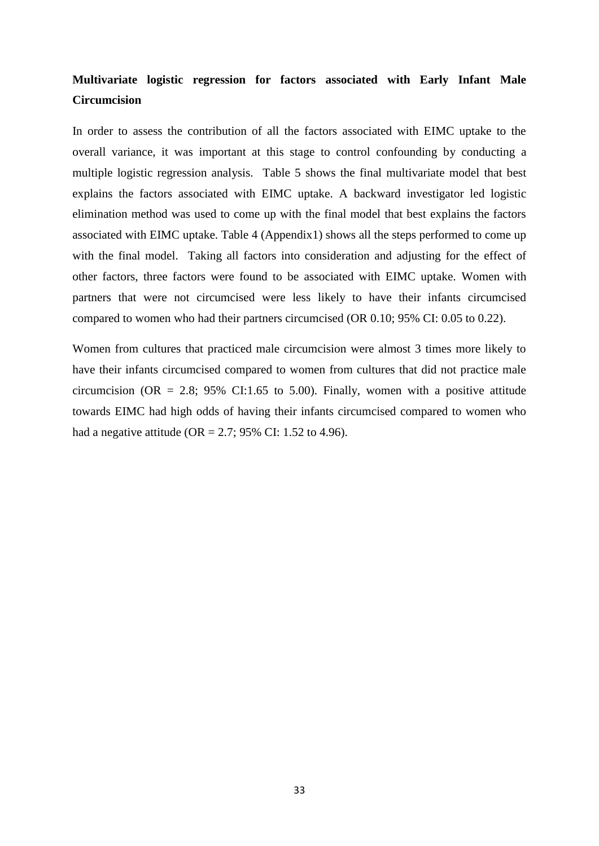# **Multivariate logistic regression for factors associated with Early Infant Male Circumcision**

In order to assess the contribution of all the factors associated with EIMC uptake to the overall variance, it was important at this stage to control confounding by conducting a multiple logistic regression analysis. Table 5 shows the final multivariate model that best explains the factors associated with EIMC uptake. A backward investigator led logistic elimination method was used to come up with the final model that best explains the factors associated with EIMC uptake. Table 4 (Appendix1) shows all the steps performed to come up with the final model. Taking all factors into consideration and adjusting for the effect of other factors, three factors were found to be associated with EIMC uptake. Women with partners that were not circumcised were less likely to have their infants circumcised compared to women who had their partners circumcised (OR 0.10; 95% CI: 0.05 to 0.22).

Women from cultures that practiced male circumcision were almost 3 times more likely to have their infants circumcised compared to women from cultures that did not practice male circumcision (OR = 2.8; 95% CI:1.65 to 5.00). Finally, women with a positive attitude towards EIMC had high odds of having their infants circumcised compared to women who had a negative attitude (OR = 2.7; 95% CI: 1.52 to 4.96).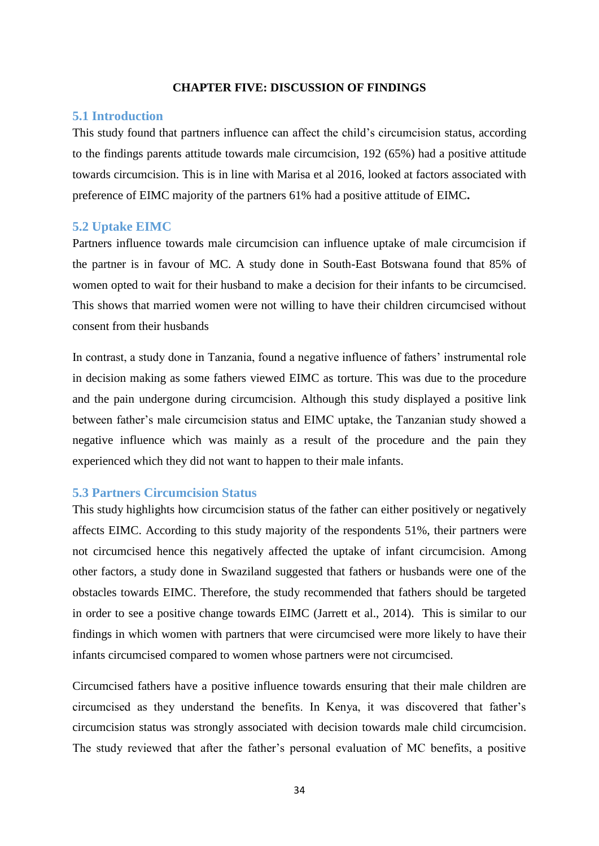#### **CHAPTER FIVE: DISCUSSION OF FINDINGS**

#### <span id="page-47-1"></span><span id="page-47-0"></span>**5.1 Introduction**

This study found that partners influence can affect the child"s circumcision status, according to the findings parents attitude towards male circumcision, 192 (65%) had a positive attitude towards circumcision. This is in line with Marisa et al 2016, looked at factors associated with preference of EIMC majority of the partners 61% had a positive attitude of EIMC**.**

#### <span id="page-47-2"></span>**5.2 Uptake EIMC**

Partners influence towards male circumcision can influence uptake of male circumcision if the partner is in favour of MC. A study done in South-East Botswana found that 85% of women opted to wait for their husband to make a decision for their infants to be circumcised. This shows that married women were not willing to have their children circumcised without consent from their husbands

In contrast, a study done in Tanzania, found a negative influence of fathers' instrumental role in decision making as some fathers viewed EIMC as torture. This was due to the procedure and the pain undergone during circumcision. Although this study displayed a positive link between father"s male circumcision status and EIMC uptake, the Tanzanian study showed a negative influence which was mainly as a result of the procedure and the pain they experienced which they did not want to happen to their male infants.

#### <span id="page-47-3"></span>**5.3 Partners Circumcision Status**

This study highlights how circumcision status of the father can either positively or negatively affects EIMC. According to this study majority of the respondents 51%, their partners were not circumcised hence this negatively affected the uptake of infant circumcision. Among other factors, a study done in Swaziland suggested that fathers or husbands were one of the obstacles towards EIMC. Therefore, the study recommended that fathers should be targeted in order to see a positive change towards EIMC (Jarrett et al., 2014). This is similar to our findings in which women with partners that were circumcised were more likely to have their infants circumcised compared to women whose partners were not circumcised.

Circumcised fathers have a positive influence towards ensuring that their male children are circumcised as they understand the benefits. In Kenya, it was discovered that father"s circumcision status was strongly associated with decision towards male child circumcision. The study reviewed that after the father"s personal evaluation of MC benefits, a positive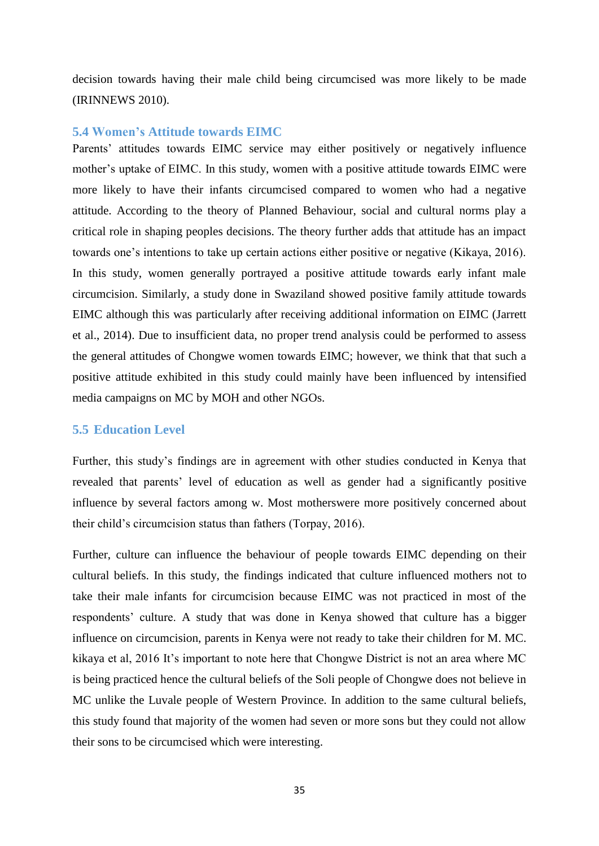decision towards having their male child being circumcised was more likely to be made (IRINNEWS 2010).

# <span id="page-48-0"></span>**5.4 Women's Attitude towards EIMC**

Parents' attitudes towards EIMC service may either positively or negatively influence mother's uptake of EIMC. In this study, women with a positive attitude towards EIMC were more likely to have their infants circumcised compared to women who had a negative attitude. According to the theory of Planned Behaviour, social and cultural norms play a critical role in shaping peoples decisions. The theory further adds that attitude has an impact towards one's intentions to take up certain actions either positive or negative (Kikaya, 2016). In this study, women generally portrayed a positive attitude towards early infant male circumcision. Similarly, a study done in Swaziland showed positive family attitude towards EIMC although this was particularly after receiving additional information on EIMC (Jarrett et al., 2014). Due to insufficient data, no proper trend analysis could be performed to assess the general attitudes of Chongwe women towards EIMC; however, we think that that such a positive attitude exhibited in this study could mainly have been influenced by intensified media campaigns on MC by MOH and other NGOs.

# **5.5 Education Level**

Further, this study"s findings are in agreement with other studies conducted in Kenya that revealed that parents" level of education as well as gender had a significantly positive influence by several factors among w. Most motherswere more positively concerned about their child"s circumcision status than fathers (Torpay, 2016).

Further, culture can influence the behaviour of people towards EIMC depending on their cultural beliefs. In this study, the findings indicated that culture influenced mothers not to take their male infants for circumcision because EIMC was not practiced in most of the respondents' culture. A study that was done in Kenya showed that culture has a bigger influence on circumcision, parents in Kenya were not ready to take their children for M. MC. kikaya et al, 2016 It's important to note here that Chongwe District is not an area where MC is being practiced hence the cultural beliefs of the Soli people of Chongwe does not believe in MC unlike the Luvale people of Western Province. In addition to the same cultural beliefs, this study found that majority of the women had seven or more sons but they could not allow their sons to be circumcised which were interesting.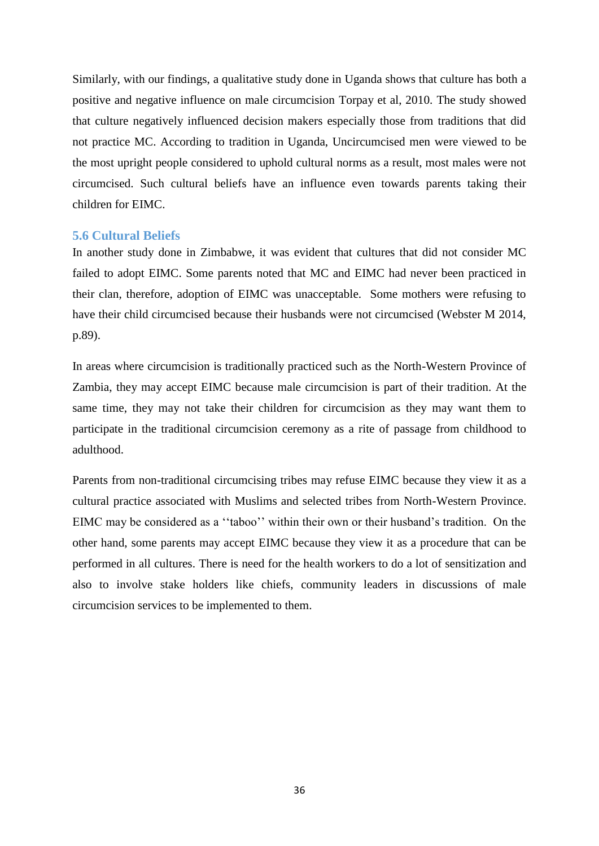Similarly, with our findings, a qualitative study done in Uganda shows that culture has both a positive and negative influence on male circumcision Torpay et al, 2010. The study showed that culture negatively influenced decision makers especially those from traditions that did not practice MC. According to tradition in Uganda, Uncircumcised men were viewed to be the most upright people considered to uphold cultural norms as a result, most males were not circumcised. Such cultural beliefs have an influence even towards parents taking their children for EIMC.

#### <span id="page-49-0"></span>**5.6 Cultural Beliefs**

In another study done in Zimbabwe, it was evident that cultures that did not consider MC failed to adopt EIMC. Some parents noted that MC and EIMC had never been practiced in their clan, therefore, adoption of EIMC was unacceptable. Some mothers were refusing to have their child circumcised because their husbands were not circumcised (Webster M 2014, p.89).

In areas where circumcision is traditionally practiced such as the North-Western Province of Zambia, they may accept EIMC because male circumcision is part of their tradition. At the same time, they may not take their children for circumcision as they may want them to participate in the traditional circumcision ceremony as a rite of passage from childhood to adulthood.

Parents from non-traditional circumcising tribes may refuse EIMC because they view it as a cultural practice associated with Muslims and selected tribes from North-Western Province. EIMC may be considered as a "taboo" within their own or their husband's tradition. On the other hand, some parents may accept EIMC because they view it as a procedure that can be performed in all cultures. There is need for the health workers to do a lot of sensitization and also to involve stake holders like chiefs, community leaders in discussions of male circumcision services to be implemented to them.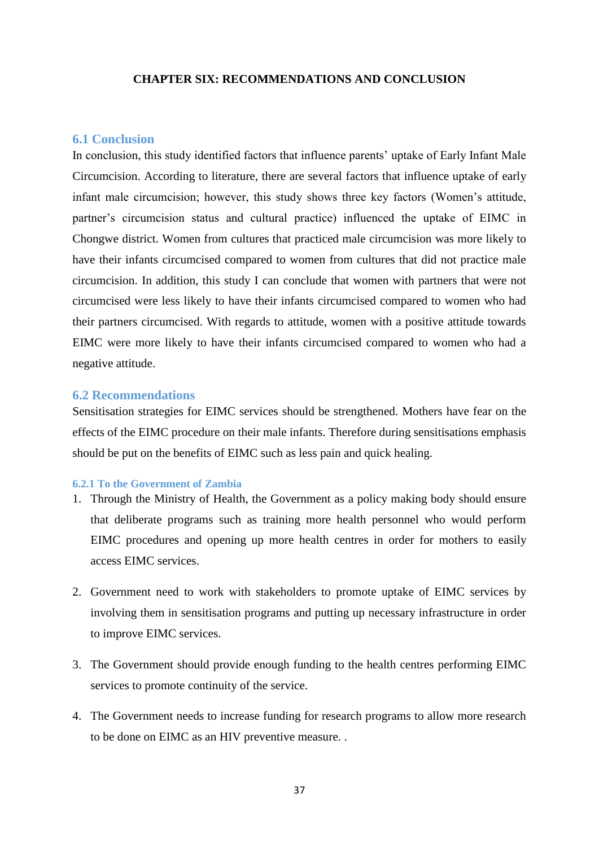#### **CHAPTER SIX: RECOMMENDATIONS AND CONCLUSION**

# <span id="page-50-1"></span><span id="page-50-0"></span>**6.1 Conclusion**

In conclusion, this study identified factors that influence parents' uptake of Early Infant Male Circumcision. According to literature, there are several factors that influence uptake of early infant male circumcision; however, this study shows three key factors (Women"s attitude, partner"s circumcision status and cultural practice) influenced the uptake of EIMC in Chongwe district. Women from cultures that practiced male circumcision was more likely to have their infants circumcised compared to women from cultures that did not practice male circumcision. In addition, this study I can conclude that women with partners that were not circumcised were less likely to have their infants circumcised compared to women who had their partners circumcised. With regards to attitude, women with a positive attitude towards EIMC were more likely to have their infants circumcised compared to women who had a negative attitude.

# <span id="page-50-2"></span>**6.2 Recommendations**

Sensitisation strategies for EIMC services should be strengthened. Mothers have fear on the effects of the EIMC procedure on their male infants. Therefore during sensitisations emphasis should be put on the benefits of EIMC such as less pain and quick healing.

#### <span id="page-50-3"></span>**6.2.1 To the Government of Zambia**

- 1. Through the Ministry of Health, the Government as a policy making body should ensure that deliberate programs such as training more health personnel who would perform EIMC procedures and opening up more health centres in order for mothers to easily access EIMC services.
- 2. Government need to work with stakeholders to promote uptake of EIMC services by involving them in sensitisation programs and putting up necessary infrastructure in order to improve EIMC services.
- 3. The Government should provide enough funding to the health centres performing EIMC services to promote continuity of the service.
- 4. The Government needs to increase funding for research programs to allow more research to be done on EIMC as an HIV preventive measure. .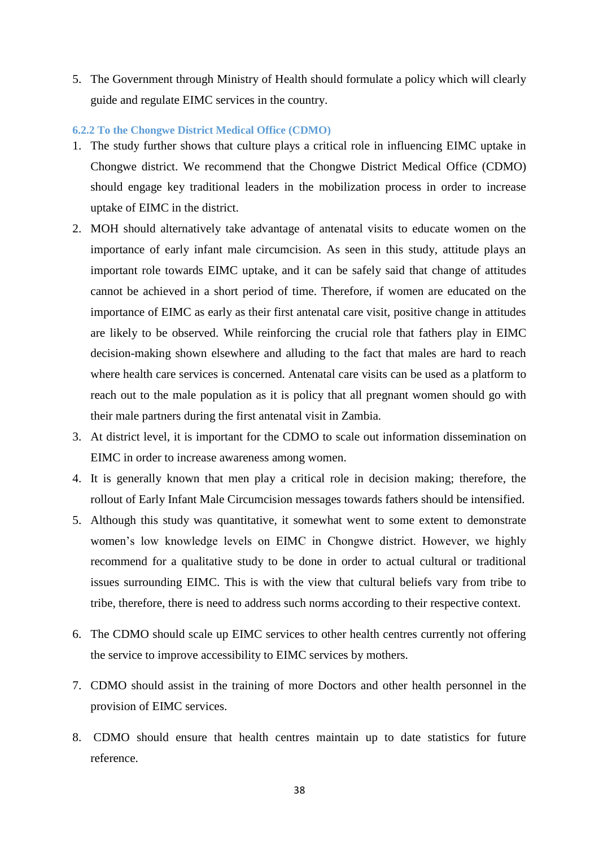5. The Government through Ministry of Health should formulate a policy which will clearly guide and regulate EIMC services in the country.

#### <span id="page-51-0"></span>**6.2.2 To the Chongwe District Medical Office (CDMO)**

- 1. The study further shows that culture plays a critical role in influencing EIMC uptake in Chongwe district. We recommend that the Chongwe District Medical Office (CDMO) should engage key traditional leaders in the mobilization process in order to increase uptake of EIMC in the district.
- 2. MOH should alternatively take advantage of antenatal visits to educate women on the importance of early infant male circumcision. As seen in this study, attitude plays an important role towards EIMC uptake, and it can be safely said that change of attitudes cannot be achieved in a short period of time. Therefore, if women are educated on the importance of EIMC as early as their first antenatal care visit, positive change in attitudes are likely to be observed. While reinforcing the crucial role that fathers play in EIMC decision-making shown elsewhere and alluding to the fact that males are hard to reach where health care services is concerned. Antenatal care visits can be used as a platform to reach out to the male population as it is policy that all pregnant women should go with their male partners during the first antenatal visit in Zambia.
- 3. At district level, it is important for the CDMO to scale out information dissemination on EIMC in order to increase awareness among women.
- 4. It is generally known that men play a critical role in decision making; therefore, the rollout of Early Infant Male Circumcision messages towards fathers should be intensified.
- 5. Although this study was quantitative, it somewhat went to some extent to demonstrate women"s low knowledge levels on EIMC in Chongwe district. However, we highly recommend for a qualitative study to be done in order to actual cultural or traditional issues surrounding EIMC. This is with the view that cultural beliefs vary from tribe to tribe, therefore, there is need to address such norms according to their respective context.
- 6. The CDMO should scale up EIMC services to other health centres currently not offering the service to improve accessibility to EIMC services by mothers.
- 7. CDMO should assist in the training of more Doctors and other health personnel in the provision of EIMC services.
- 8. CDMO should ensure that health centres maintain up to date statistics for future reference.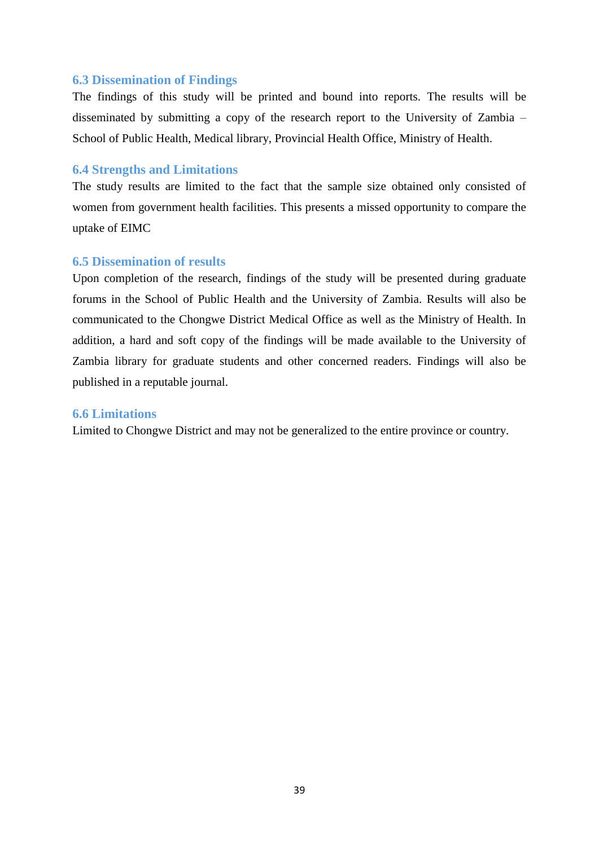# <span id="page-52-0"></span>**6.3 Dissemination of Findings**

The findings of this study will be printed and bound into reports. The results will be disseminated by submitting a copy of the research report to the University of Zambia – School of Public Health, Medical library, Provincial Health Office, Ministry of Health.

# <span id="page-52-1"></span>**6.4 Strengths and Limitations**

The study results are limited to the fact that the sample size obtained only consisted of women from government health facilities. This presents a missed opportunity to compare the uptake of EIMC

# <span id="page-52-2"></span>**6.5 Dissemination of results**

Upon completion of the research, findings of the study will be presented during graduate forums in the School of Public Health and the University of Zambia. Results will also be communicated to the Chongwe District Medical Office as well as the Ministry of Health. In addition, a hard and soft copy of the findings will be made available to the University of Zambia library for graduate students and other concerned readers. Findings will also be published in a reputable journal.

# <span id="page-52-3"></span>**6.6 Limitations**

Limited to Chongwe District and may not be generalized to the entire province or country.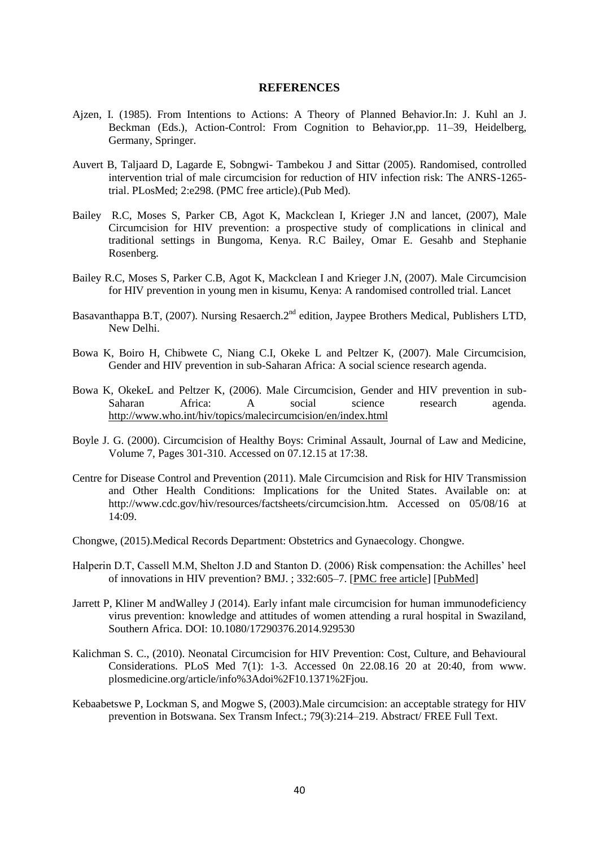#### **REFERENCES**

- <span id="page-53-0"></span>Ajzen, I. (1985). From Intentions to Actions: A Theory of Planned Behavior.In: J. Kuhl an J. Beckman (Eds.), Action-Control: From Cognition to Behavior,pp. 11–39, Heidelberg, Germany, Springer.
- Auvert B, Taljaard D, Lagarde E, Sobngwi- Tambekou J and Sittar (2005). Randomised, controlled intervention trial of male circumcision for reduction of HIV infection risk: The ANRS-1265 trial. PLosMed; 2:e298. (PMC free article).(Pub Med).
- Bailey R.C, Moses S, Parker CB, Agot K, Mackclean I, Krieger J.N and lancet, (2007), Male Circumcision for HIV prevention: a prospective study of complications in clinical and traditional settings in Bungoma, Kenya. R.C Bailey, Omar E. Gesahb and Stephanie Rosenberg.
- Bailey R.C, Moses S, Parker C.B, Agot K, Mackclean I and Krieger J.N, (2007). Male Circumcision for HIV prevention in young men in kisumu, Kenya: A randomised controlled trial. Lancet
- Basavanthappa B.T, (2007). Nursing Resaerch.2<sup>nd</sup> edition, Jaypee Brothers Medical, Publishers LTD, New Delhi.
- Bowa K, Boiro H, Chibwete C, Niang C.I, Okeke L and Peltzer K, (2007). Male Circumcision, Gender and HIV prevention in sub-Saharan Africa: A social science research agenda.
- Bowa K, OkekeL and Peltzer K, (2006). Male Circumcision, Gender and HIV prevention in sub-Saharan Africa: A social science research agenda. <http://www.who.int/hiv/topics/malecircumcision/en/index.html>
- Boyle J. G. (2000). Circumcision of Healthy Boys: Criminal Assault, Journal of Law and Medicine, Volume 7, Pages 301-310. Accessed on 07.12.15 at 17:38.
- Centre for Disease Control and Prevention (2011). [Male Circumcision and Risk for HIV Transmission](http://www.cdc.gov/hiv/resources/factsheets/circumcision.htm)  [and Other Health Conditions: Implications for the United States.](http://www.cdc.gov/hiv/resources/factsheets/circumcision.htm) Available on: at http://www.cdc.gov/hiv/resources/factsheets/circumcision.htm. Accessed on 05/08/16 at 14:09.
- Chongwe, (2015).Medical Records Department: Obstetrics and Gynaecology. Chongwe.
- Halperin D.T, Cassell M.M, Shelton J.D and Stanton D. (2006) Risk compensation: the Achilles' heel of innovations in HIV prevention? BMJ. ; 332:605–7. [\[PMC free article\]](http://www.ncbi.nlm.nih.gov/pmc/articles/PMC1397752/) [\[PubMed\]](http://www.ncbi.nlm.nih.gov/pubmed/16528088)
- Jarrett P, Kliner M andWalley J (2014). Early infant male circumcision for human immunodeficiency virus prevention: knowledge and attitudes of women attending a rural hospital in Swaziland, Southern Africa. DOI: 10.1080/17290376.2014.929530
- Kalichman S. C., (2010). Neonatal Circumcision for HIV Prevention: Cost, Culture, and Behavioural Considerations. PLoS Med 7(1): 1-3. Accessed 0n 22.08.16 20 at 20:40, from www. plosmedicine.org/article/info%3Adoi%2F10.1371%2Fjou.
- Kebaabetswe P, Lockman S, and Mogwe S, (2003).Male circumcision: an acceptable strategy for HIV prevention in Botswana. Sex Transm Infect.; 79(3):214–219. Abstract/ FREE Full Text.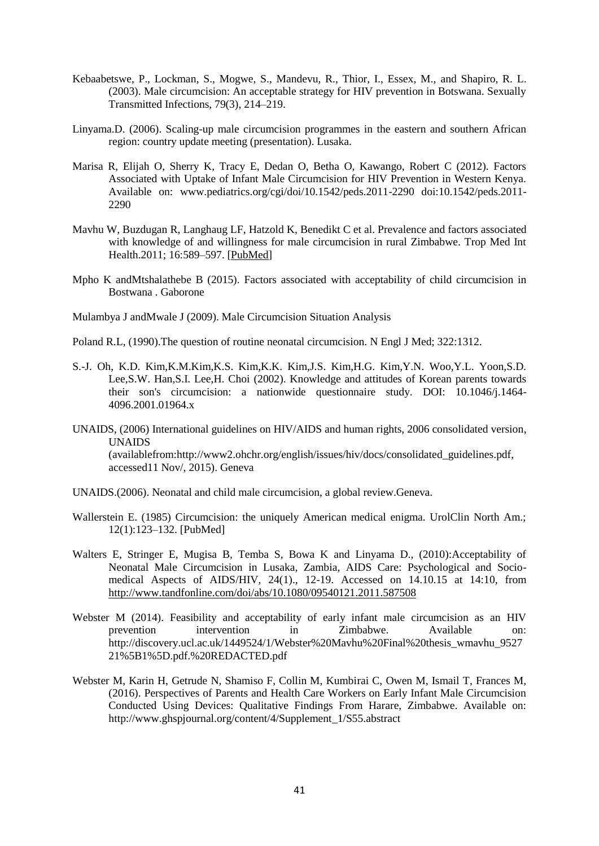- Kebaabetswe, P., Lockman, S., Mogwe, S., Mandevu, R., Thior, I., Essex, M., and Shapiro, R. L. (2003). Male circumcision: An acceptable strategy for HIV prevention in Botswana. Sexually Transmitted Infections, 79(3), 214–219.
- Linyama.D. (2006). Scaling-up male circumcision programmes in the eastern and southern African region: country update meeting (presentation). Lusaka.
- Marisa R, Elijah O, Sherry K, Tracy E, Dedan O, Betha O, Kawango, Robert C (2012). Factors Associated with Uptake of Infant Male Circumcision for HIV Prevention in Western Kenya. Available on: www.pediatrics.org/cgi/doi/10.1542/peds.2011-2290 doi:10.1542/peds.2011- 2290
- Mavhu W, Buzdugan R, Langhaug LF, Hatzold K, Benedikt C et al. Prevalence and factors associated with knowledge of and willingness for male circumcision in rural Zimbabwe. Trop Med Int Health.2011; 16:589–597. [\[PubMed\]](http://www.ncbi.nlm.nih.gov/pubmed/21349135)
- Mpho K andMtshalathebe B (2015). Factors associated with acceptability of child circumcision in Bostwana . Gaborone

Mulambya J andMwale J (2009). Male Circumcision Situation Analysis

- Poland R.L, [\(1990\).The question of routine neonatal circumcision. N Engl J Med; 322:1312.](http://www.uptodate.com/contents/neonatal-circumcision-risks-and-benefits/abstract/78)
- S.-J. Oh, K.D. Kim,K.M.Kim,K.S. Kim,K.K. Kim,J.S. Kim,H.G. Kim,Y.N. Woo,Y.L. Yoon,S.D. Lee,S.W. Han,S.I. Lee,H. Choi (2002). Knowledge and attitudes of Korean parents towards their son's circumcision: a nationwide questionnaire study. DOI: 10.1046/j.1464- 4096.2001.01964.x
- UNAIDS, (2006) International guidelines on HIV/AIDS and human rights, 2006 consolidated version, UNAIDS (availablefrom:http://www2.ohchr.org/english/issues/hiv/docs/consolidated\_guidelines.pdf, accessed11 Nov/, 2015). Geneva
- UNAIDS.(2006). Neonatal and child male circumcision, a global review.Geneva.
- Wallerstein E. (1985) Circumcision: the uniquely American medical enigma. UrolClin North Am.; 12(1):123–132. [\[PubMed\]](file://pubmed/3883617)
- Walters E, Stringer E, Mugisa B, Temba S, Bowa K and Linyama D., (2010):Acceptability of Neonatal Male Circumcision in Lusaka, Zambia, AIDS Care: Psychological and Sociomedical Aspects of AIDS/HIV, 24(1)., 12-19. Accessed on 14.10.15 at 14:10, from <http://www.tandfonline.com/doi/abs/10.1080/09540121.2011.587508>
- Webster M (2014). Feasibility and acceptability of early infant male circumcision as an HIV prevention intervention in Zimbabwe. Available on: http://discovery.ucl.ac.uk/1449524/1/Webster%20Mavhu%20Final%20thesis\_wmavhu\_9527 21%5B1%5D.pdf.%20REDACTED.pdf
- Webster M, Karin H, Getrude N, Shamiso F, Collin M, Kumbirai C, Owen M, Ismail T, Frances M, (2016). Perspectives of Parents and Health Care Workers on Early Infant Male Circumcision Conducted Using Devices: Qualitative Findings From Harare, Zimbabwe. Available on: http://www.ghspjournal.org/content/4/Supplement\_1/S55.abstract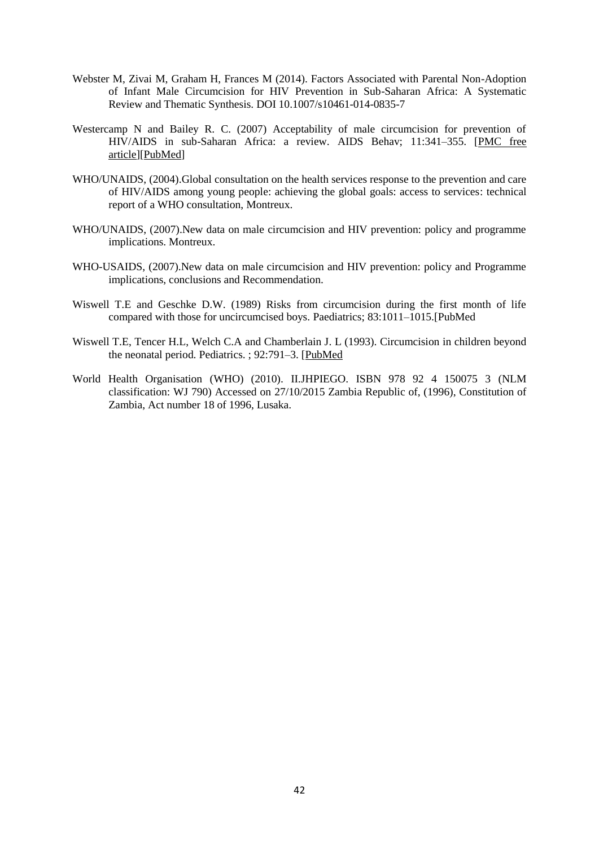- Webster M, Zivai M, Graham H, Frances M (2014). Factors Associated with Parental Non-Adoption of Infant Male Circumcision for HIV Prevention in Sub-Saharan Africa: A Systematic Review and Thematic Synthesis. DOI 10.1007/s10461-014-0835-7
- Westercamp N and Bailey R. C. (2007) Acceptability of male circumcision for prevention of HIV/AIDS in sub-Saharan Africa: a review. AIDS Behav; 11:341–355. [\[PMC free](http://www.ncbi.nlm.nih.gov/pmc/articles/PMC1847541/)  [article\]](http://www.ncbi.nlm.nih.gov/pmc/articles/PMC1847541/)[\[PubMed\]](http://www.ncbi.nlm.nih.gov/pubmed/17053855)
- WHO/UNAIDS, (2004).Global consultation on the health services response to the prevention and care of HIV/AIDS among young people: achieving the global goals: access to services: technical report of a WHO consultation, Montreux.
- WHO/UNAIDS, (2007).New data on male circumcision and HIV prevention: policy and programme implications. Montreux.
- WHO-USAIDS, (2007).New data on male circumcision and HIV prevention: policy and Programme implications, conclusions and Recommendation.
- Wiswell T.E and Geschke D.W. (1989) Risks from circumcision during the first month of life compared with those for uncircumcised boys. Paediatrics; 83:1011–1015.[PubMed
- Wiswell T.E, Tencer H.L, Welch C.A and Chamberlain J. L (1993). Circumcision in children beyond the neonatal period. Pediatrics. ; 92:791–3. [\[PubMed](http://www.ncbi.nlm.nih.gov/pubmed/8233738)
- World Health Organisation (WHO) (2010). II.JHPIEGO. ISBN 978 92 4 150075 3 (NLM classification: WJ 790) Accessed on 27/10/2015 Zambia Republic of, (1996), Constitution of Zambia, Act number 18 of 1996, Lusaka.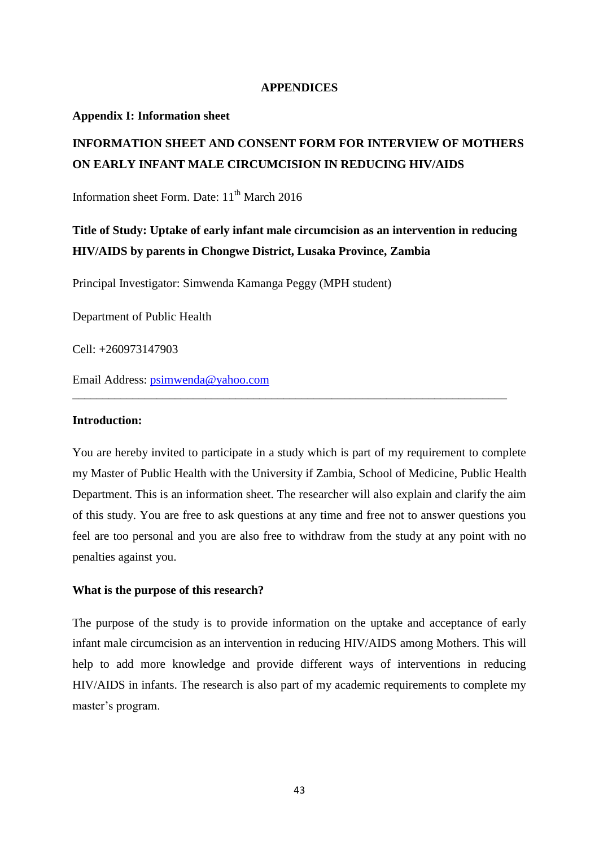#### **APPENDICES**

#### <span id="page-56-1"></span><span id="page-56-0"></span>**Appendix I: Information sheet**

# **INFORMATION SHEET AND CONSENT FORM FOR INTERVIEW OF MOTHERS ON EARLY INFANT MALE CIRCUMCISION IN REDUCING HIV/AIDS**

Information sheet Form. Date:  $11<sup>th</sup>$  March 2016

# **Title of Study: Uptake of early infant male circumcision as an intervention in reducing HIV/AIDS by parents in Chongwe District, Lusaka Province, Zambia**

Principal Investigator: Simwenda Kamanga Peggy (MPH student)

Department of Public Health

Cell: +260973147903

Email Address: [psimwenda@yahoo.com](mailto:psimwenda@yahoo.com)

#### **Introduction:**

You are hereby invited to participate in a study which is part of my requirement to complete my Master of Public Health with the University if Zambia, School of Medicine, Public Health Department. This is an information sheet. The researcher will also explain and clarify the aim of this study. You are free to ask questions at any time and free not to answer questions you feel are too personal and you are also free to withdraw from the study at any point with no penalties against you.

\_\_\_\_\_\_\_\_\_\_\_\_\_\_\_\_\_\_\_\_\_\_\_\_\_\_\_\_\_\_\_\_\_\_\_\_\_\_\_\_\_\_\_\_\_\_\_\_\_\_\_\_\_\_\_\_\_\_\_\_\_\_\_\_\_\_\_\_\_\_\_\_

#### **What is the purpose of this research?**

The purpose of the study is to provide information on the uptake and acceptance of early infant male circumcision as an intervention in reducing HIV/AIDS among Mothers. This will help to add more knowledge and provide different ways of interventions in reducing HIV/AIDS in infants. The research is also part of my academic requirements to complete my master's program.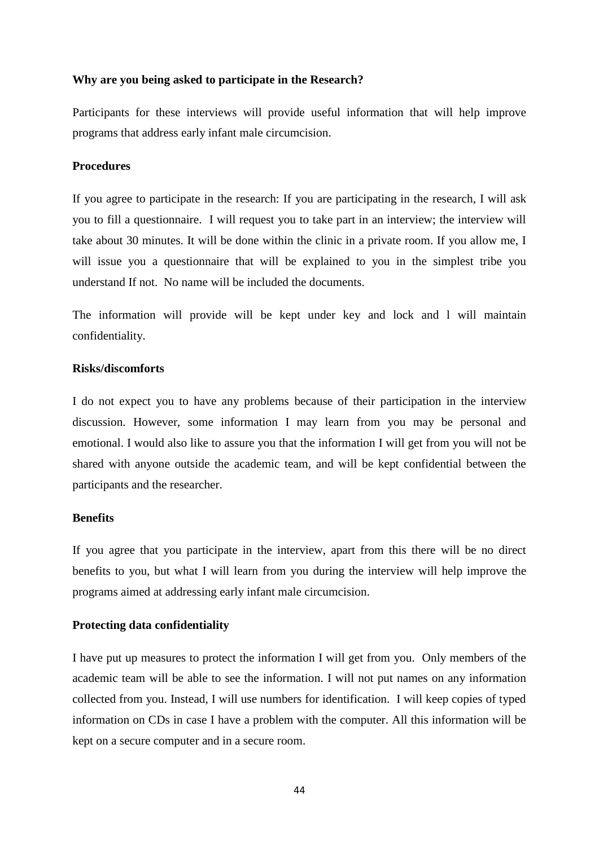#### **Why are you being asked to participate in the Research?**

Participants for these interviews will provide useful information that will help improve programs that address early infant male circumcision.

# **Procedures**

If you agree to participate in the research: If you are participating in the research, I will ask you to fill a questionnaire. I will request you to take part in an interview; the interview will take about 30 minutes. It will be done within the clinic in a private room. If you allow me, I will issue you a questionnaire that will be explained to you in the simplest tribe you understand If not. No name will be included the documents.

The information will provide will be kept under key and lock and l will maintain confidentiality.

# **Risks/discomforts**

I do not expect you to have any problems because of their participation in the interview discussion. However, some information I may learn from you may be personal and emotional. I would also like to assure you that the information I will get from you will not be shared with anyone outside the academic team, and will be kept confidential between the participants and the researcher.

#### **Benefits**

If you agree that you participate in the interview, apart from this there will be no direct benefits to you, but what I will learn from you during the interview will help improve the programs aimed at addressing early infant male circumcision.

#### **Protecting data confidentiality**

I have put up measures to protect the information I will get from you. Only members of the academic team will be able to see the information. I will not put names on any information collected from you. Instead, I will use numbers for identification. I will keep copies of typed information on CDs in case I have a problem with the computer. All this information will be kept on a secure computer and in a secure room.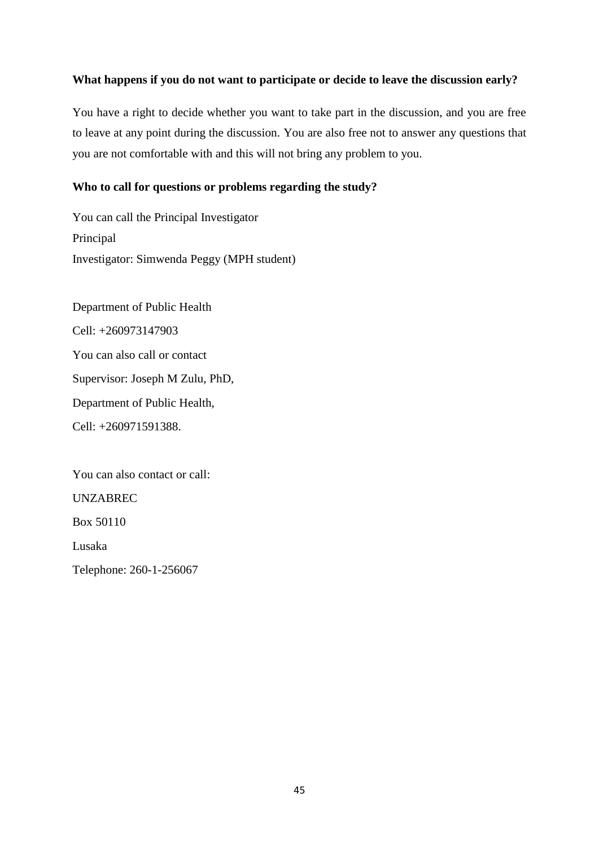# **What happens if you do not want to participate or decide to leave the discussion early?**

You have a right to decide whether you want to take part in the discussion, and you are free to leave at any point during the discussion. You are also free not to answer any questions that you are not comfortable with and this will not bring any problem to you.

# **Who to call for questions or problems regarding the study?**

You can call the Principal Investigator Principal Investigator: Simwenda Peggy (MPH student)

Department of Public Health Cell: +260973147903 You can also call or contact Supervisor: Joseph M Zulu, PhD, Department of Public Health, Cell: +260971591388.

You can also contact or call:

UNZABREC

Box 50110

Lusaka

Telephone: 260-1-256067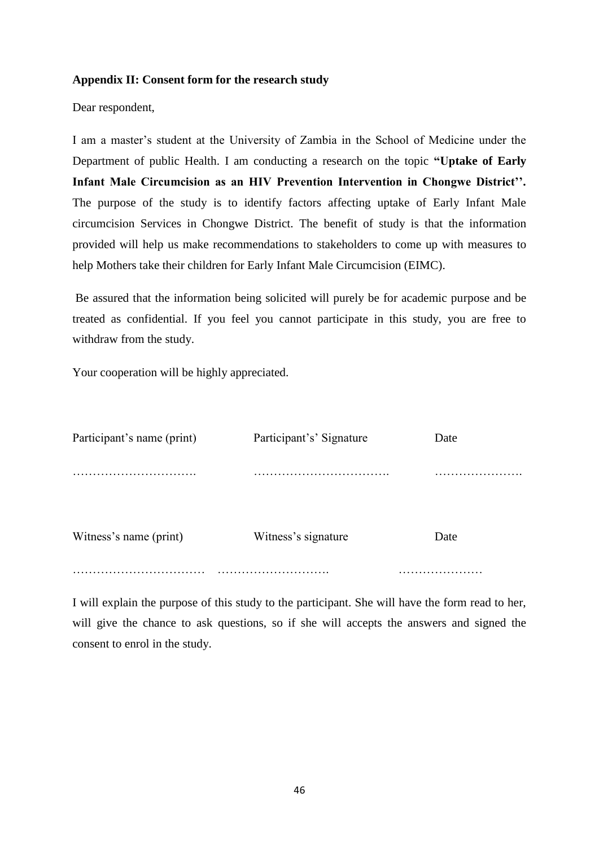# <span id="page-59-0"></span>**Appendix II: Consent form for the research study**

Dear respondent,

I am a master"s student at the University of Zambia in the School of Medicine under the Department of public Health. I am conducting a research on the topic **"Uptake of Early Infant Male Circumcision as an HIV Prevention Intervention in Chongwe District''.**  The purpose of the study is to identify factors affecting uptake of Early Infant Male circumcision Services in Chongwe District. The benefit of study is that the information provided will help us make recommendations to stakeholders to come up with measures to help Mothers take their children for Early Infant Male Circumcision (EIMC).

Be assured that the information being solicited will purely be for academic purpose and be treated as confidential. If you feel you cannot participate in this study, you are free to withdraw from the study.

Your cooperation will be highly appreciated.

| Participant's name (print) | Participant's' Signature | Date |
|----------------------------|--------------------------|------|
|                            |                          |      |
| Witness's name (print)     | Witness's signature      | Date |
|                            |                          |      |

I will explain the purpose of this study to the participant. She will have the form read to her, will give the chance to ask questions, so if she will accepts the answers and signed the consent to enrol in the study.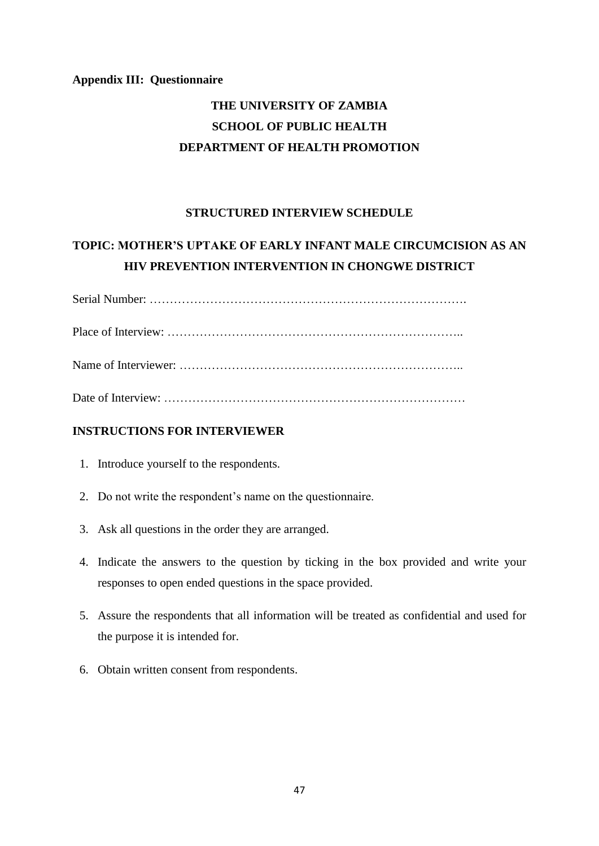# <span id="page-60-0"></span>**Appendix III: Questionnaire**

# **THE UNIVERSITY OF ZAMBIA SCHOOL OF PUBLIC HEALTH DEPARTMENT OF HEALTH PROMOTION**

# **STRUCTURED INTERVIEW SCHEDULE**

# **TOPIC: MOTHER'S UPTAKE OF EARLY INFANT MALE CIRCUMCISION AS AN HIV PREVENTION INTERVENTION IN CHONGWE DISTRICT**

# Date of Interview: …………………………………………………………………

# **INSTRUCTIONS FOR INTERVIEWER**

- 1. Introduce yourself to the respondents.
- 2. Do not write the respondent"s name on the questionnaire.
- 3. Ask all questions in the order they are arranged.
- 4. Indicate the answers to the question by ticking in the box provided and write your responses to open ended questions in the space provided.
- 5. Assure the respondents that all information will be treated as confidential and used for the purpose it is intended for.
- 6. Obtain written consent from respondents.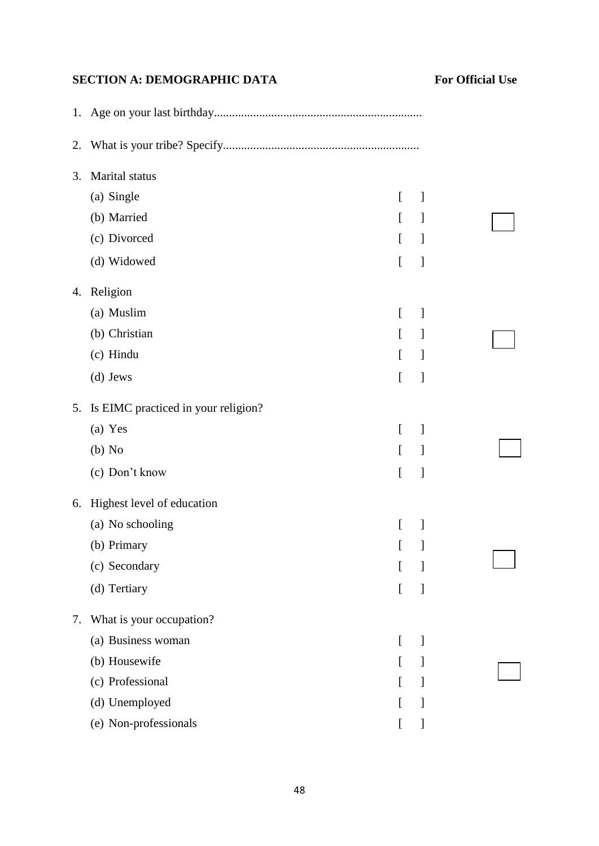# **SECTION A: DEMOGRAPHIC DATA** For Official Use

| 2. |                                     |                                            |  |
|----|-------------------------------------|--------------------------------------------|--|
| 3. | Marital status                      |                                            |  |
|    | (a) Single                          | $\mathbf{r}$<br>1                          |  |
|    | (b) Married                         | $\mathsf{L}$<br>J                          |  |
|    | (c) Divorced                        | $\Gamma$<br>1                              |  |
|    | (d) Widowed                         | ſ<br>1                                     |  |
| 4. | Religion                            |                                            |  |
|    | (a) Muslim                          | $\overline{a}$<br>]                        |  |
|    | (b) Christian                       | L<br>1                                     |  |
|    | (c) Hindu                           | $\overline{a}$<br>]                        |  |
|    | (d) Jews                            | $\Gamma$<br>$\begin{array}{c} \end{array}$ |  |
| 5. | Is EIMC practiced in your religion? |                                            |  |
|    | (a) Yes                             | $\left[ \right]$<br>]                      |  |
|    | $(b)$ No                            | $\mathbf{r}$<br>1                          |  |
|    | (c) Don't know                      | $\Gamma$<br>]                              |  |
| 6. | Highest level of education          |                                            |  |
|    | (a) No schooling                    | ſ<br>]                                     |  |
|    | (b) Primary                         | I                                          |  |
|    | (c) Secondary                       | I                                          |  |
|    | (d) Tertiary                        | $\Gamma$<br>]                              |  |
| 7. | What is your occupation?            |                                            |  |
|    | (a) Business woman                  | 1<br>$\left[ \right]$                      |  |
|    | (b) Housewife                       | I<br>]                                     |  |
|    | (c) Professional                    | J                                          |  |
|    | (d) Unemployed                      | I<br>1                                     |  |
|    | (e) Non-professionals               | ]                                          |  |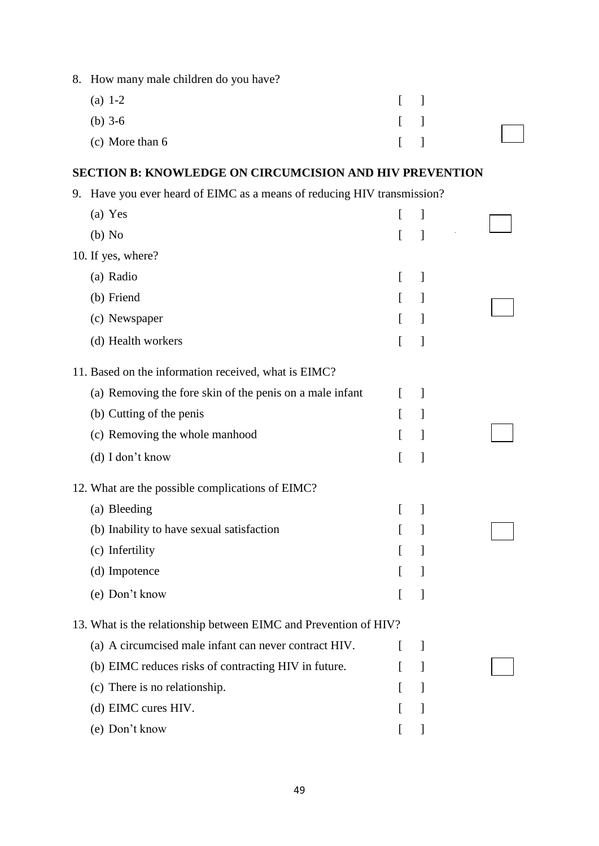| 8. | How many male children do you have?                                     |   |                          |  |
|----|-------------------------------------------------------------------------|---|--------------------------|--|
|    | (a) $1-2$                                                               | L | 1                        |  |
|    | (b) $3-6$                                                               | L | ]                        |  |
|    | (c) More than 6                                                         |   | 1                        |  |
|    | <b>SECTION B: KNOWLEDGE ON CIRCUMCISION AND HIV PREVENTION</b>          |   |                          |  |
|    | 9. Have you ever heard of EIMC as a means of reducing HIV transmission? |   |                          |  |
|    | (a) Yes                                                                 | L | 1                        |  |
|    | $(b)$ No                                                                |   | 1                        |  |
|    | 10. If yes, where?                                                      |   |                          |  |
|    | (a) Radio                                                               | L | ]                        |  |
|    | (b) Friend                                                              | L | $\mathbf{I}$             |  |
|    | (c) Newspaper                                                           | L | 1                        |  |
|    | (d) Health workers                                                      |   | $\mathbf{l}$             |  |
|    | 11. Based on the information received, what is EIMC?                    |   |                          |  |
|    | (a) Removing the fore skin of the penis on a male infant                | L | $\overline{\phantom{a}}$ |  |
|    | (b) Cutting of the penis                                                |   | 1                        |  |
|    | (c) Removing the whole manhood                                          |   | 1                        |  |
|    | (d) I don't know                                                        | ſ | 1                        |  |
|    | 12. What are the possible complications of EIMC?                        |   |                          |  |
|    | (a) Bleeding                                                            | L | 1                        |  |
|    | (b) Inability to have sexual satisfaction                               |   | 1                        |  |
|    | (c) Infertility                                                         |   | 1                        |  |
|    | (d) Impotence                                                           |   | J                        |  |
|    | (e) Don't know                                                          |   | ]                        |  |
|    | 13. What is the relationship between EIMC and Prevention of HIV?        |   |                          |  |
|    | (a) A circumcised male infant can never contract HIV.                   |   | 1                        |  |
|    | (b) EIMC reduces risks of contracting HIV in future.                    |   | 1                        |  |
|    | (c) There is no relationship.                                           |   | 1                        |  |
|    | (d) EIMC cures HIV.                                                     |   | 1                        |  |
|    | (e) Don't know                                                          |   |                          |  |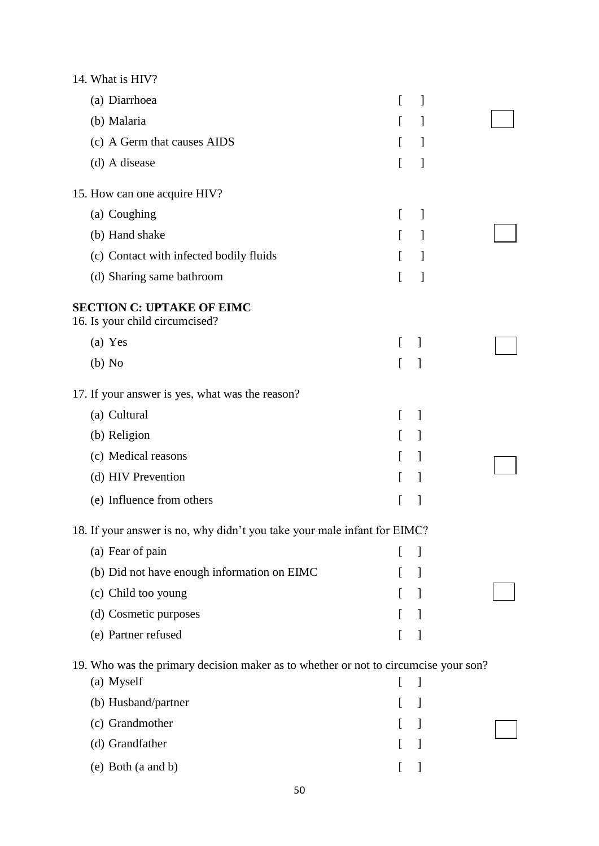| 14. What is HIV?                                                                                  |              |                                |  |
|---------------------------------------------------------------------------------------------------|--------------|--------------------------------|--|
| (a) Diarrhoea                                                                                     | L            | $\mathcal{L}$                  |  |
| (b) Malaria                                                                                       | $\Gamma$     | $\mathcal{L}$                  |  |
| (c) A Germ that causes AIDS                                                                       | L            | $\mathcal{I}$                  |  |
| (d) A disease                                                                                     | L            | 1                              |  |
| 15. How can one acquire HIV?                                                                      |              |                                |  |
| (a) Coughing                                                                                      | $\lceil$     | $\mathbf{I}$                   |  |
| (b) Hand shake                                                                                    | $\mathbb{F}$ | $\mathcal{L}$                  |  |
| (c) Contact with infected bodily fluids                                                           | L            | $\overline{\phantom{a}}$       |  |
| (d) Sharing same bathroom                                                                         | L            | 1                              |  |
| <b>SECTION C: UPTAKE OF EIMC</b><br>16. Is your child circumcised?                                |              |                                |  |
| (a) Yes                                                                                           | L            | $\overline{1}$                 |  |
| $(b)$ No                                                                                          | L            | $\overline{\phantom{a}}$       |  |
| 17. If your answer is yes, what was the reason?                                                   |              |                                |  |
| (a) Cultural                                                                                      | L            | $\overline{\phantom{a}}$       |  |
| (b) Religion                                                                                      | L            | $\mathbf{1}$                   |  |
| (c) Medical reasons                                                                               | L            | $\mathbf{I}$                   |  |
| (d) HIV Prevention                                                                                | L            | $\overline{\phantom{a}}$       |  |
| (e) Influence from others                                                                         | [            | 1                              |  |
| 18. If your answer is no, why didn't you take your male infant for EIMC?                          |              |                                |  |
| (a) Fear of pain                                                                                  | L            | 1                              |  |
| (b) Did not have enough information on EIMC                                                       | L            | $\begin{array}{c} \end{array}$ |  |
| (c) Child too young                                                                               | L            | $\mathbf{I}$                   |  |
| (d) Cosmetic purposes                                                                             | $\Gamma$     | $\mathbf{I}$                   |  |
| (e) Partner refused                                                                               | ſ            | $\mathbf{I}$                   |  |
| 19. Who was the primary decision maker as to whether or not to circumcise your son?<br>(a) Myself | ſ            | 1                              |  |
| (b) Husband/partner                                                                               | ſ            | 1                              |  |
| (c) Grandmother                                                                                   |              | $\mathbf{I}$                   |  |
| (d) Grandfather                                                                                   | I            | -1                             |  |
| (e) Both (a and b)                                                                                |              |                                |  |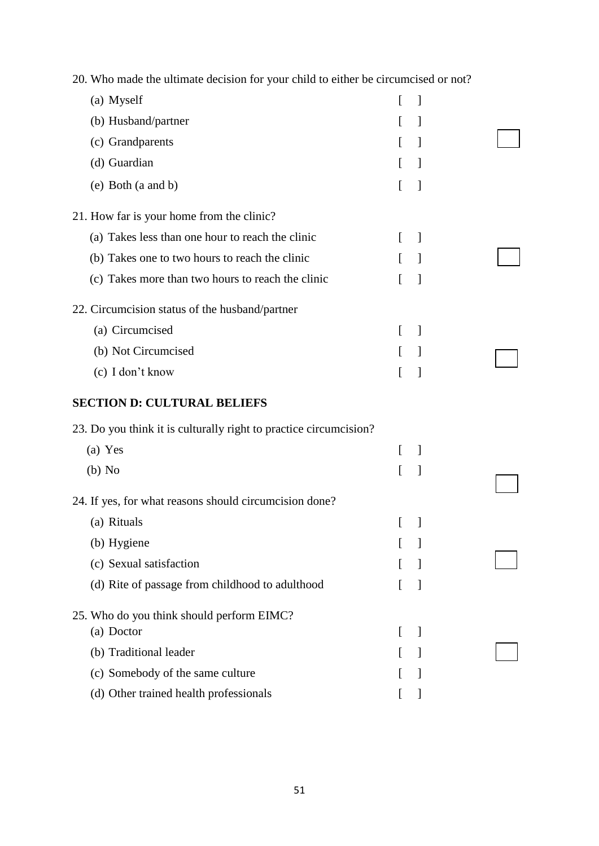| (a) Myself                                                        | $\mathbf{I}$               |                          |  |
|-------------------------------------------------------------------|----------------------------|--------------------------|--|
| (b) Husband/partner                                               |                            | $\overline{\phantom{a}}$ |  |
| (c) Grandparents                                                  | $\Gamma$                   | 1                        |  |
| (d) Guardian                                                      | $\lfloor$                  | 1                        |  |
| (e) Both (a and b)                                                |                            | $\overline{\phantom{a}}$ |  |
| 21. How far is your home from the clinic?                         |                            |                          |  |
| (a) Takes less than one hour to reach the clinic                  |                            | $\mathbf{1}$             |  |
| (b) Takes one to two hours to reach the clinic                    |                            | 1                        |  |
| (c) Takes more than two hours to reach the clinic                 |                            | 1                        |  |
| 22. Circumcision status of the husband/partner                    |                            |                          |  |
| (a) Circumcised                                                   |                            | $\overline{\phantom{a}}$ |  |
| (b) Not Circumcised                                               |                            | 1                        |  |
| (c) I don't know                                                  |                            | 1                        |  |
| <b>SECTION D: CULTURAL BELIEFS</b>                                |                            |                          |  |
| 23. Do you think it is culturally right to practice circumcision? |                            |                          |  |
| (a) Yes                                                           | $\left\lceil \right\rceil$ | $\overline{\phantom{a}}$ |  |
| $(b)$ No                                                          |                            | $\mathbf{I}$             |  |
| 24. If yes, for what reasons should circumcision done?            |                            |                          |  |
| (a) Rituals                                                       |                            |                          |  |
| (b) Hygiene                                                       |                            |                          |  |
| (c) Sexual satisfaction                                           |                            |                          |  |
| (d) Rite of passage from childhood to adulthood                   |                            | 1                        |  |
| 25. Who do you think should perform EIMC?                         |                            |                          |  |
| (a) Doctor                                                        | $\mathbf{I}$               | $\overline{\phantom{a}}$ |  |
| (b) Traditional leader                                            |                            |                          |  |
| (c) Somebody of the same culture                                  |                            |                          |  |
| (d) Other trained health professionals                            |                            |                          |  |